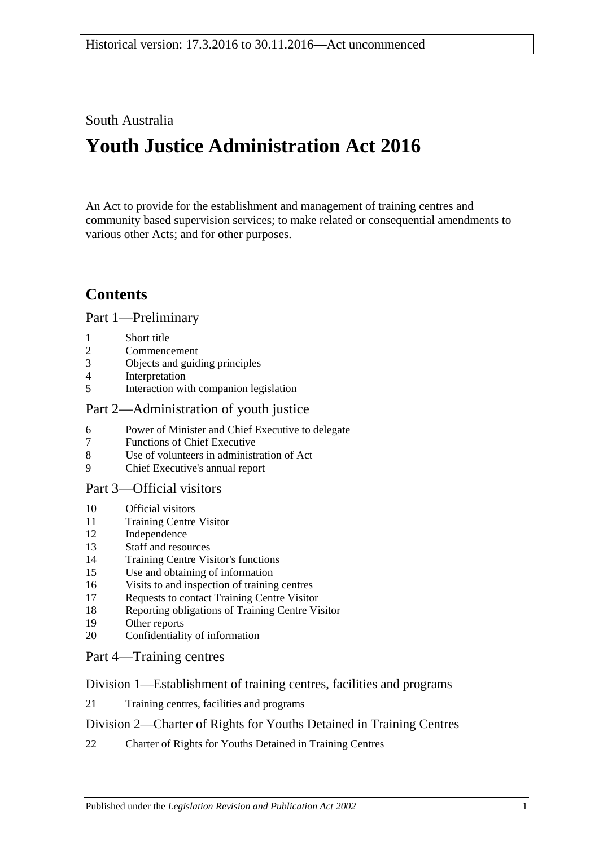## South Australia

# **Youth Justice Administration Act 2016**

An Act to provide for the establishment and management of training centres and community based supervision services; to make related or consequential amendments to various other Acts; and for other purposes.

## **Contents**

Part [1—Preliminary](#page-3-0)

- [Short title](#page-3-1)
- [Commencement](#page-3-2)
- [Objects and guiding principles](#page-3-3)
- [Interpretation](#page-5-0)
- [Interaction with companion legislation](#page-6-0)

#### Part [2—Administration of youth justice](#page-6-1)

- [Power of Minister and Chief Executive to delegate](#page-6-2)
- [Functions of Chief Executive](#page-7-0)
- [Use of volunteers in administration of Act](#page-7-1)
- [Chief Executive's annual report](#page-7-2)

#### Part [3—Official visitors](#page-7-3)

- [Official visitors](#page-7-4)
- [Training Centre Visitor](#page-8-0)
- [Independence](#page-9-0)
- [Staff and resources](#page-9-1)
- [Training Centre Visitor's functions](#page-9-2)
- [Use and obtaining of information](#page-10-0)
- [Visits to and inspection of training centres](#page-10-1)
- [Requests to contact Training Centre Visitor](#page-11-0)
- [Reporting obligations of Training Centre Visitor](#page-11-1)
- [Other reports](#page-11-2)
- [Confidentiality of information](#page-12-0)
- Part [4—Training centres](#page-12-1)

#### Division [1—Establishment of training centres, facilities and programs](#page-12-2)

[Training centres, facilities and programs](#page-12-3)

### Division [2—Charter of Rights for Youths Detained in Training Centres](#page-12-4)

[Charter of Rights for Youths Detained in Training Centres](#page-12-5)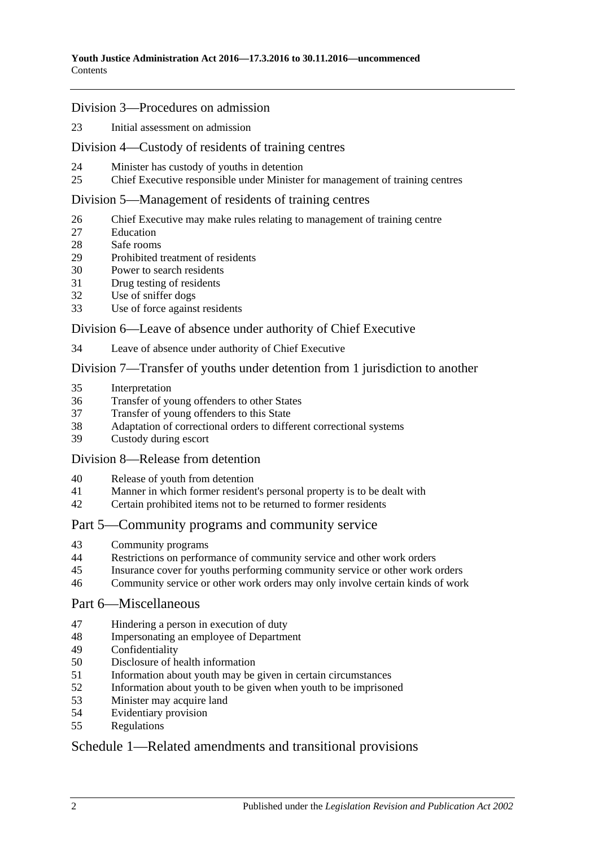#### Division [3—Procedures on admission](#page-13-0)

[Initial assessment on admission](#page-13-1)

#### Division [4—Custody of residents of training centres](#page-15-0)

- [Minister has custody of youths in detention](#page-15-1)
- [Chief Executive responsible under Minister for management of training centres](#page-15-2)

#### Division [5—Management of residents of training centres](#page-15-3)

- [Chief Executive may make rules relating to management of training centre](#page-15-4)
- [Education](#page-15-5)
- [Safe rooms](#page-16-0)
- [Prohibited treatment of residents](#page-17-0)
- [Power to search residents](#page-18-0)
- [Drug testing of residents](#page-19-0)
- [Use of sniffer dogs](#page-20-0)
- [Use of force against residents](#page-20-1)

#### Division [6—Leave of absence under authority of Chief Executive](#page-21-0)

[Leave of absence under authority of Chief Executive](#page-21-1)

#### Division [7—Transfer of youths under detention from 1 jurisdiction to another](#page-22-0)

- [Interpretation](#page-22-1)
- [Transfer of young offenders to other States](#page-23-0)
- [Transfer of young offenders to this State](#page-24-0)
- [Adaptation of correctional orders to different correctional systems](#page-25-0)<br>39 Custody during escort
- [Custody during escort](#page-25-1)

#### Division [8—Release from detention](#page-25-2)

- [Release of youth from detention](#page-25-3)
- [Manner in which former resident's personal property is to be dealt with](#page-26-0)
- [Certain prohibited items not to be returned to former residents](#page-26-1)

#### Part [5—Community programs and community service](#page-26-2)

- [Community programs](#page-26-3)
- [Restrictions on performance of community service and other work orders](#page-27-0)
- [Insurance cover for youths performing community service or other work orders](#page-28-0)
- [Community service or other work orders may only involve certain kinds of work](#page-28-1)

#### Part [6—Miscellaneous](#page-28-2)

- [Hindering a person in execution of duty](#page-28-3)
- [Impersonating an employee of Department](#page-29-0)
- [Confidentiality](#page-29-1)
- [Disclosure of health information](#page-29-2)
- [Information about youth may be given in certain circumstances](#page-30-0)
- [Information about youth to be given when youth to be imprisoned](#page-30-1)
- [Minister may acquire land](#page-31-0)
- [Evidentiary provision](#page-31-1)
- [Regulations](#page-31-2)

### Schedule [1—Related amendments and transitional provisions](#page-32-0)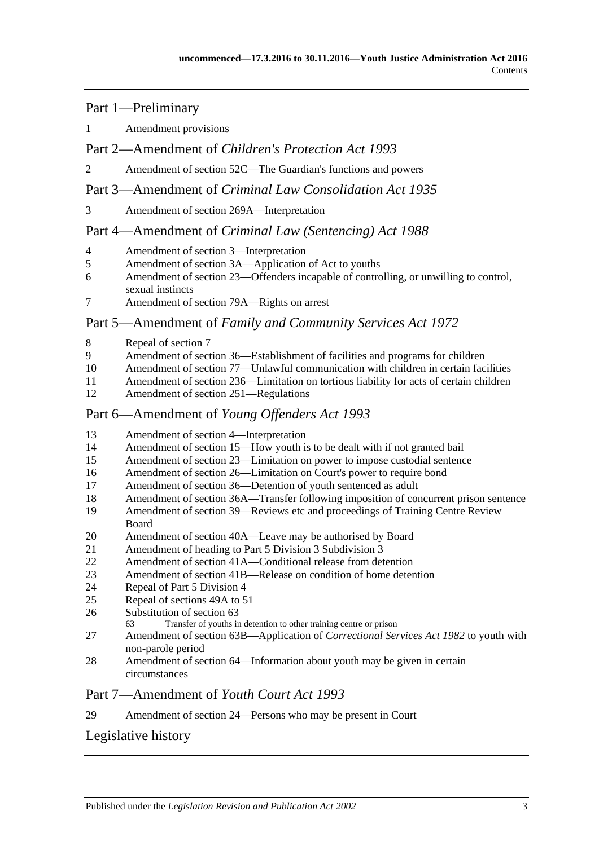#### Part 1—Preliminary

[Amendment provisions](#page-32-1)

#### Part 2—Amendment of *Children's Protection Act 1993*

[Amendment of section 52C—The Guardian's functions and powers](#page-32-2)

#### Part 3—Amendment of *Criminal Law Consolidation Act 1935*

[Amendment of section 269A—Interpretation](#page-32-3)

#### Part 4—Amendment of *Criminal Law (Sentencing) Act 1988*

- [Amendment of section 3—Interpretation](#page-33-0)
- [Amendment of section 3A—Application of Act to youths](#page-33-1)
- [Amendment of section 23—Offenders incapable of controlling, or unwilling to control,](#page-33-2)  [sexual instincts](#page-33-2)
- [Amendment of section 79A—Rights on arrest](#page-34-0)

#### Part 5—Amendment of *Family and Community Services Act 1972*

- [Repeal of section 7](#page-34-1)
- [Amendment of section 36—Establishment of facilities and programs for children](#page-34-2)
- [Amendment of section 77—Unlawful communication with children in certain facilities](#page-34-3)
- [Amendment of section 236—Limitation on tortious liability](#page-34-4) for acts of certain children
- [Amendment of section 251—Regulations](#page-34-5)

#### Part 6—Amendment of *Young Offenders Act 1993*

- [Amendment of section 4—Interpretation](#page-34-6)
- [Amendment of section 15—How youth is to be dealt with if not granted bail](#page-35-0)
- [Amendment of section 23—Limitation on power to impose custodial sentence](#page-35-1)
- [Amendment of section 26—Limitation on Court's power to require bond](#page-36-0)
- [Amendment of section 36—Detention of youth sentenced as adult](#page-36-1)
- [Amendment of section 36A—Transfer following imposition of concurrent prison sentence](#page-36-2)
- [Amendment of section 39—Reviews etc and proceedings of Training Centre Review](#page-36-3)  [Board](#page-36-3)
- [Amendment of section 40A—Leave may be authorised by Board](#page-37-0)
- [Amendment of heading to Part 5 Division 3 Subdivision 3](#page-37-1)
- [Amendment of section 41A—Conditional release from detention](#page-37-2)
- [Amendment of section 41B—Release on condition of home detention](#page-37-3)
- [Repeal of Part 5 Division 4](#page-37-4)
- [Repeal of sections 49A to 51](#page-37-5)
- [Substitution of section 63](#page-37-6)<br>63 Transfer of youths in
	- Transfer of youths in detention to other training centre or prison
- [Amendment of section 63B—Application of](#page-39-0) *Correctional Services Act 1982* to youth with [non-parole period](#page-39-0)
- [Amendment of section 64—Information about youth may be given in certain](#page-39-1)  [circumstances](#page-39-1)

#### Part 7—Amendment of *Youth Court Act 1993*

[Amendment of section 24—Persons who may be present in Court](#page-39-2)

## [Legislative history](#page-40-0)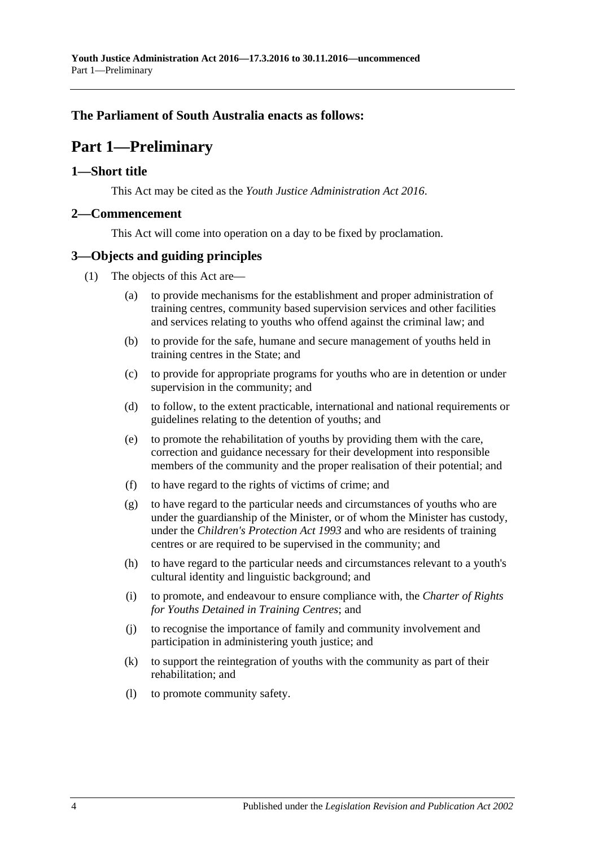### <span id="page-3-0"></span>**The Parliament of South Australia enacts as follows:**

## **Part 1—Preliminary**

#### <span id="page-3-1"></span>**1—Short title**

This Act may be cited as the *Youth Justice Administration Act 2016*.

#### <span id="page-3-2"></span>**2—Commencement**

This Act will come into operation on a day to be fixed by proclamation.

#### <span id="page-3-3"></span>**3—Objects and guiding principles**

- (1) The objects of this Act are—
	- (a) to provide mechanisms for the establishment and proper administration of training centres, community based supervision services and other facilities and services relating to youths who offend against the criminal law; and
	- (b) to provide for the safe, humane and secure management of youths held in training centres in the State; and
	- (c) to provide for appropriate programs for youths who are in detention or under supervision in the community; and
	- (d) to follow, to the extent practicable, international and national requirements or guidelines relating to the detention of youths; and
	- (e) to promote the rehabilitation of youths by providing them with the care, correction and guidance necessary for their development into responsible members of the community and the proper realisation of their potential; and
	- (f) to have regard to the rights of victims of crime; and
	- (g) to have regard to the particular needs and circumstances of youths who are under the guardianship of the Minister, or of whom the Minister has custody, under the *[Children's Protection Act](http://www.legislation.sa.gov.au/index.aspx?action=legref&type=act&legtitle=Childrens%20Protection%20Act%201993) 1993* and who are residents of training centres or are required to be supervised in the community; and
	- (h) to have regard to the particular needs and circumstances relevant to a youth's cultural identity and linguistic background; and
	- (i) to promote, and endeavour to ensure compliance with, the *Charter of Rights for Youths Detained in Training Centres*; and
	- (j) to recognise the importance of family and community involvement and participation in administering youth justice; and
	- (k) to support the reintegration of youths with the community as part of their rehabilitation; and
	- (l) to promote community safety.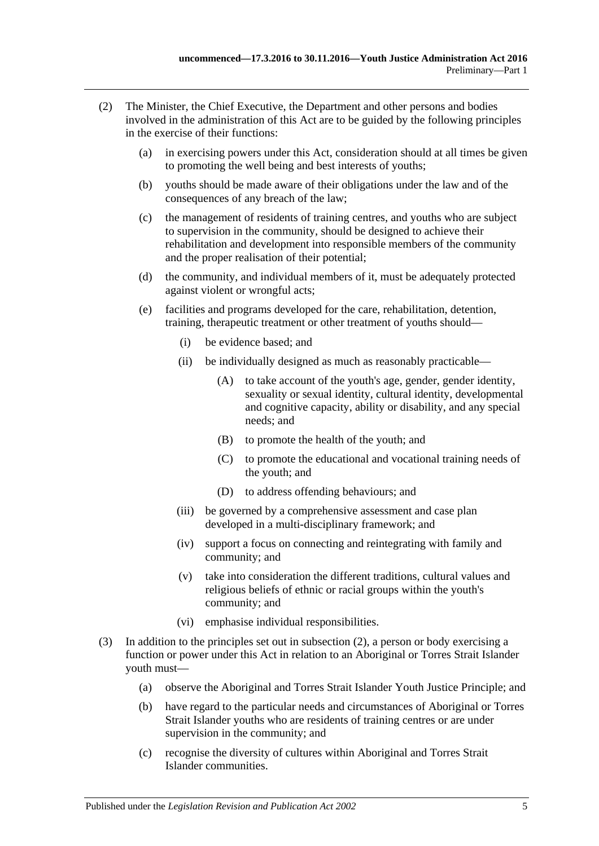- <span id="page-4-0"></span>(2) The Minister, the Chief Executive, the Department and other persons and bodies involved in the administration of this Act are to be guided by the following principles in the exercise of their functions:
	- (a) in exercising powers under this Act, consideration should at all times be given to promoting the well being and best interests of youths;
	- (b) youths should be made aware of their obligations under the law and of the consequences of any breach of the law;
	- (c) the management of residents of training centres, and youths who are subject to supervision in the community, should be designed to achieve their rehabilitation and development into responsible members of the community and the proper realisation of their potential;
	- (d) the community, and individual members of it, must be adequately protected against violent or wrongful acts;
	- (e) facilities and programs developed for the care, rehabilitation, detention, training, therapeutic treatment or other treatment of youths should—
		- (i) be evidence based; and
		- (ii) be individually designed as much as reasonably practicable—
			- (A) to take account of the youth's age, gender, gender identity, sexuality or sexual identity, cultural identity, developmental and cognitive capacity, ability or disability, and any special needs; and
			- (B) to promote the health of the youth; and
			- (C) to promote the educational and vocational training needs of the youth; and
			- (D) to address offending behaviours; and
		- (iii) be governed by a comprehensive assessment and case plan developed in a multi-disciplinary framework; and
		- (iv) support a focus on connecting and reintegrating with family and community; and
		- (v) take into consideration the different traditions, cultural values and religious beliefs of ethnic or racial groups within the youth's community; and
		- (vi) emphasise individual responsibilities.
- (3) In addition to the principles set out in [subsection](#page-4-0) (2), a person or body exercising a function or power under this Act in relation to an Aboriginal or Torres Strait Islander youth must—
	- (a) observe the Aboriginal and Torres Strait Islander Youth Justice Principle; and
	- (b) have regard to the particular needs and circumstances of Aboriginal or Torres Strait Islander youths who are residents of training centres or are under supervision in the community; and
	- (c) recognise the diversity of cultures within Aboriginal and Torres Strait Islander communities.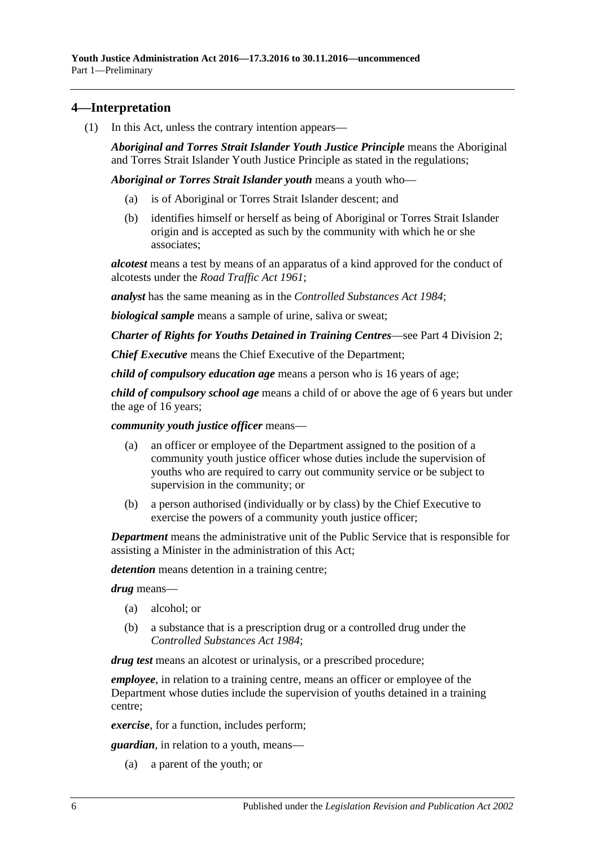### <span id="page-5-0"></span>**4—Interpretation**

(1) In this Act, unless the contrary intention appears—

*Aboriginal and Torres Strait Islander Youth Justice Principle* means the Aboriginal and Torres Strait Islander Youth Justice Principle as stated in the regulations;

*Aboriginal or Torres Strait Islander youth* means a youth who—

- (a) is of Aboriginal or Torres Strait Islander descent; and
- (b) identifies himself or herself as being of Aboriginal or Torres Strait Islander origin and is accepted as such by the community with which he or she associates;

*alcotest* means a test by means of an apparatus of a kind approved for the conduct of alcotests under the *[Road Traffic Act](http://www.legislation.sa.gov.au/index.aspx?action=legref&type=act&legtitle=Road%20Traffic%20Act%201961) 1961*;

*analyst* has the same meaning as in the *[Controlled Substances Act](http://www.legislation.sa.gov.au/index.aspx?action=legref&type=act&legtitle=Controlled%20Substances%20Act%201984) 1984*;

*biological sample* means a sample of urine, saliva or sweat;

*Charter of Rights for Youths Detained in Training Centres*—see Part [4 Division](#page-12-4) 2;

*Chief Executive* means the Chief Executive of the Department;

*child of compulsory education age* means a person who is 16 years of age;

*child of compulsory school age* means a child of or above the age of 6 years but under the age of 16 years;

*community youth justice officer* means—

- (a) an officer or employee of the Department assigned to the position of a community youth justice officer whose duties include the supervision of youths who are required to carry out community service or be subject to supervision in the community; or
- (b) a person authorised (individually or by class) by the Chief Executive to exercise the powers of a community youth justice officer;

*Department* means the administrative unit of the Public Service that is responsible for assisting a Minister in the administration of this Act;

*detention* means detention in a training centre;

*drug* means—

- (a) alcohol; or
- (b) a substance that is a prescription drug or a controlled drug under the *[Controlled Substances Act](http://www.legislation.sa.gov.au/index.aspx?action=legref&type=act&legtitle=Controlled%20Substances%20Act%201984) 1984*;

*drug test* means an alcotest or urinalysis, or a prescribed procedure;

*employee*, in relation to a training centre, means an officer or employee of the Department whose duties include the supervision of youths detained in a training centre;

*exercise*, for a function, includes perform;

*guardian*, in relation to a youth, means—

(a) a parent of the youth; or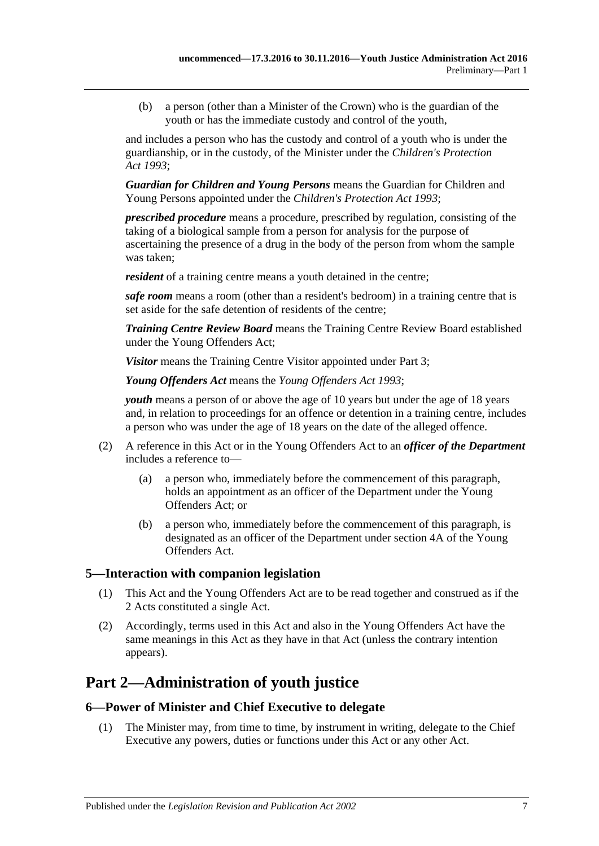(b) a person (other than a Minister of the Crown) who is the guardian of the youth or has the immediate custody and control of the youth,

and includes a person who has the custody and control of a youth who is under the guardianship, or in the custody, of the Minister under the *[Children's Protection](http://www.legislation.sa.gov.au/index.aspx?action=legref&type=act&legtitle=Childrens%20Protection%20Act%201993)  Act [1993](http://www.legislation.sa.gov.au/index.aspx?action=legref&type=act&legtitle=Childrens%20Protection%20Act%201993)*;

*Guardian for Children and Young Persons* means the Guardian for Children and Young Persons appointed under the *[Children's Protection Act](http://www.legislation.sa.gov.au/index.aspx?action=legref&type=act&legtitle=Childrens%20Protection%20Act%201993) 1993*;

*prescribed procedure* means a procedure, prescribed by regulation, consisting of the taking of a biological sample from a person for analysis for the purpose of ascertaining the presence of a drug in the body of the person from whom the sample was taken;

*resident* of a training centre means a youth detained in the centre;

*safe room* means a room (other than a resident's bedroom) in a training centre that is set aside for the safe detention of residents of the centre;

*Training Centre Review Board* means the Training Centre Review Board established under the Young Offenders Act;

*Visitor* means the Training Centre Visitor appointed under [Part](#page-7-3) 3;

*Young Offenders Act* means the *[Young Offenders Act](http://www.legislation.sa.gov.au/index.aspx?action=legref&type=act&legtitle=Young%20Offenders%20Act%201993) 1993*;

*youth* means a person of or above the age of 10 years but under the age of 18 years and, in relation to proceedings for an offence or detention in a training centre, includes a person who was under the age of 18 years on the date of the alleged offence.

- (2) A reference in this Act or in the Young Offenders Act to an *officer of the Department* includes a reference to—
	- (a) a person who, immediately before the commencement of this paragraph, holds an appointment as an officer of the Department under the Young Offenders Act; or
	- (b) a person who, immediately before the commencement of this paragraph, is designated as an officer of the Department under section 4A of the Young Offenders Act.

#### <span id="page-6-0"></span>**5—Interaction with companion legislation**

- (1) This Act and the Young Offenders Act are to be read together and construed as if the 2 Acts constituted a single Act.
- (2) Accordingly, terms used in this Act and also in the Young Offenders Act have the same meanings in this Act as they have in that Act (unless the contrary intention appears).

## <span id="page-6-1"></span>**Part 2—Administration of youth justice**

#### <span id="page-6-2"></span>**6—Power of Minister and Chief Executive to delegate**

(1) The Minister may, from time to time, by instrument in writing, delegate to the Chief Executive any powers, duties or functions under this Act or any other Act.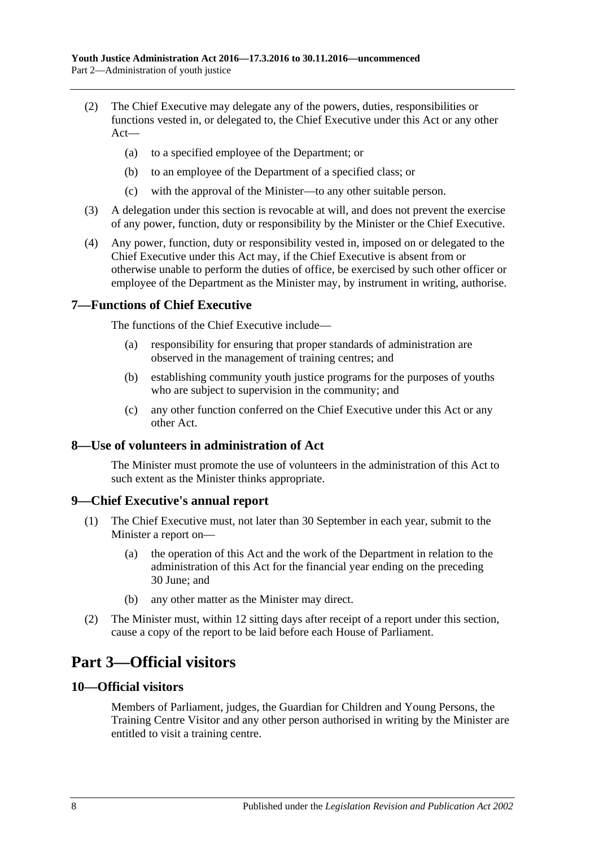- (2) The Chief Executive may delegate any of the powers, duties, responsibilities or functions vested in, or delegated to, the Chief Executive under this Act or any other Act—
	- (a) to a specified employee of the Department; or
	- (b) to an employee of the Department of a specified class; or
	- (c) with the approval of the Minister—to any other suitable person.
- (3) A delegation under this section is revocable at will, and does not prevent the exercise of any power, function, duty or responsibility by the Minister or the Chief Executive.
- (4) Any power, function, duty or responsibility vested in, imposed on or delegated to the Chief Executive under this Act may, if the Chief Executive is absent from or otherwise unable to perform the duties of office, be exercised by such other officer or employee of the Department as the Minister may, by instrument in writing, authorise.

#### <span id="page-7-0"></span>**7—Functions of Chief Executive**

The functions of the Chief Executive include—

- (a) responsibility for ensuring that proper standards of administration are observed in the management of training centres; and
- (b) establishing community youth justice programs for the purposes of youths who are subject to supervision in the community; and
- (c) any other function conferred on the Chief Executive under this Act or any other Act.

#### <span id="page-7-1"></span>**8—Use of volunteers in administration of Act**

The Minister must promote the use of volunteers in the administration of this Act to such extent as the Minister thinks appropriate.

#### <span id="page-7-2"></span>**9—Chief Executive's annual report**

- (1) The Chief Executive must, not later than 30 September in each year, submit to the Minister a report on—
	- (a) the operation of this Act and the work of the Department in relation to the administration of this Act for the financial year ending on the preceding 30 June; and
	- (b) any other matter as the Minister may direct.
- (2) The Minister must, within 12 sitting days after receipt of a report under this section, cause a copy of the report to be laid before each House of Parliament.

## <span id="page-7-3"></span>**Part 3—Official visitors**

#### <span id="page-7-4"></span>**10—Official visitors**

Members of Parliament, judges, the Guardian for Children and Young Persons, the Training Centre Visitor and any other person authorised in writing by the Minister are entitled to visit a training centre.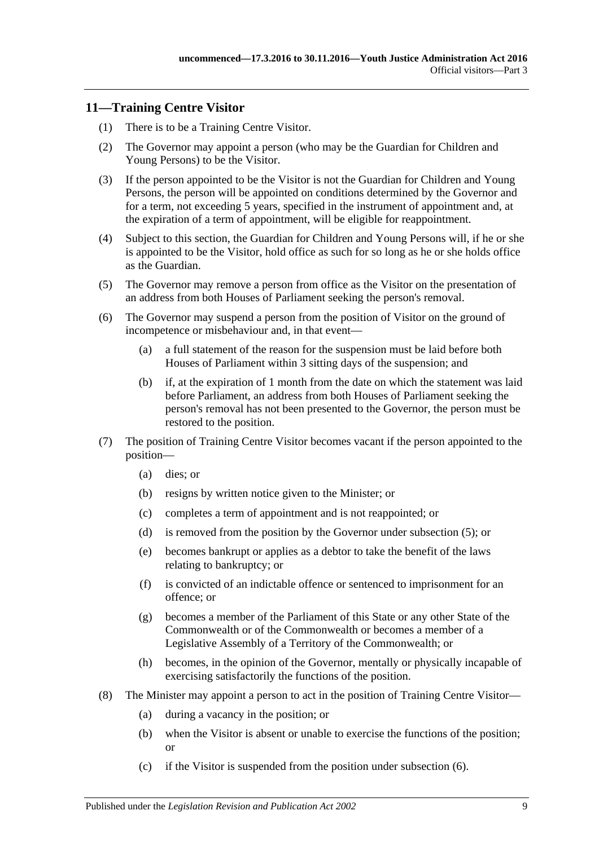#### <span id="page-8-0"></span>**11—Training Centre Visitor**

- (1) There is to be a Training Centre Visitor.
- (2) The Governor may appoint a person (who may be the Guardian for Children and Young Persons) to be the Visitor.
- (3) If the person appointed to be the Visitor is not the Guardian for Children and Young Persons, the person will be appointed on conditions determined by the Governor and for a term, not exceeding 5 years, specified in the instrument of appointment and, at the expiration of a term of appointment, will be eligible for reappointment.
- (4) Subject to this section, the Guardian for Children and Young Persons will, if he or she is appointed to be the Visitor, hold office as such for so long as he or she holds office as the Guardian.
- <span id="page-8-1"></span>(5) The Governor may remove a person from office as the Visitor on the presentation of an address from both Houses of Parliament seeking the person's removal.
- <span id="page-8-2"></span>(6) The Governor may suspend a person from the position of Visitor on the ground of incompetence or misbehaviour and, in that event—
	- (a) a full statement of the reason for the suspension must be laid before both Houses of Parliament within 3 sitting days of the suspension; and
	- (b) if, at the expiration of 1 month from the date on which the statement was laid before Parliament, an address from both Houses of Parliament seeking the person's removal has not been presented to the Governor, the person must be restored to the position.
- (7) The position of Training Centre Visitor becomes vacant if the person appointed to the position—
	- (a) dies; or
	- (b) resigns by written notice given to the Minister; or
	- (c) completes a term of appointment and is not reappointed; or
	- (d) is removed from the position by the Governor under [subsection](#page-8-1) (5); or
	- (e) becomes bankrupt or applies as a debtor to take the benefit of the laws relating to bankruptcy; or
	- (f) is convicted of an indictable offence or sentenced to imprisonment for an offence; or
	- (g) becomes a member of the Parliament of this State or any other State of the Commonwealth or of the Commonwealth or becomes a member of a Legislative Assembly of a Territory of the Commonwealth; or
	- (h) becomes, in the opinion of the Governor, mentally or physically incapable of exercising satisfactorily the functions of the position.
- (8) The Minister may appoint a person to act in the position of Training Centre Visitor—
	- (a) during a vacancy in the position; or
	- (b) when the Visitor is absent or unable to exercise the functions of the position; or
	- (c) if the Visitor is suspended from the position under [subsection](#page-8-2) (6).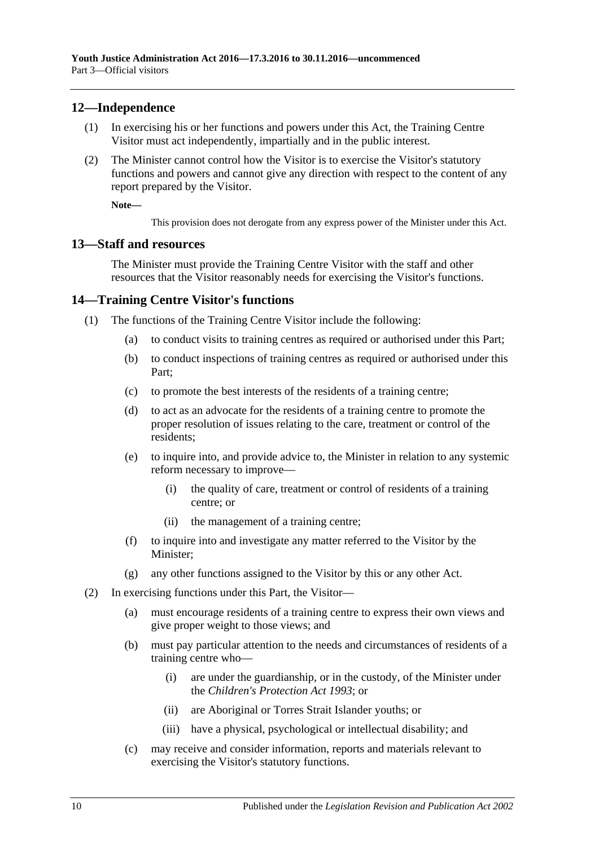#### <span id="page-9-0"></span>**12—Independence**

- (1) In exercising his or her functions and powers under this Act, the Training Centre Visitor must act independently, impartially and in the public interest.
- (2) The Minister cannot control how the Visitor is to exercise the Visitor's statutory functions and powers and cannot give any direction with respect to the content of any report prepared by the Visitor.

**Note—**

This provision does not derogate from any express power of the Minister under this Act.

#### <span id="page-9-1"></span>**13—Staff and resources**

The Minister must provide the Training Centre Visitor with the staff and other resources that the Visitor reasonably needs for exercising the Visitor's functions.

#### <span id="page-9-2"></span>**14—Training Centre Visitor's functions**

- (1) The functions of the Training Centre Visitor include the following:
	- (a) to conduct visits to training centres as required or authorised under this Part;
	- (b) to conduct inspections of training centres as required or authorised under this Part;
	- (c) to promote the best interests of the residents of a training centre;
	- (d) to act as an advocate for the residents of a training centre to promote the proper resolution of issues relating to the care, treatment or control of the residents;
	- (e) to inquire into, and provide advice to, the Minister in relation to any systemic reform necessary to improve—
		- (i) the quality of care, treatment or control of residents of a training centre; or
		- (ii) the management of a training centre;
	- (f) to inquire into and investigate any matter referred to the Visitor by the Minister;
	- (g) any other functions assigned to the Visitor by this or any other Act.
- (2) In exercising functions under this Part, the Visitor—
	- (a) must encourage residents of a training centre to express their own views and give proper weight to those views; and
	- (b) must pay particular attention to the needs and circumstances of residents of a training centre who—
		- (i) are under the guardianship, or in the custody, of the Minister under the *[Children's Protection Act](http://www.legislation.sa.gov.au/index.aspx?action=legref&type=act&legtitle=Childrens%20Protection%20Act%201993) 1993*; or
		- (ii) are Aboriginal or Torres Strait Islander youths; or
		- (iii) have a physical, psychological or intellectual disability; and
	- (c) may receive and consider information, reports and materials relevant to exercising the Visitor's statutory functions.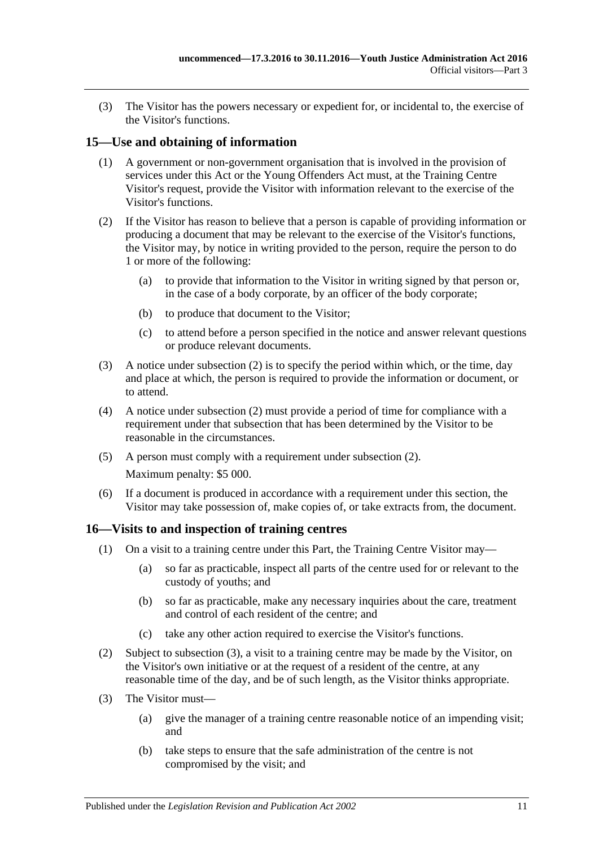(3) The Visitor has the powers necessary or expedient for, or incidental to, the exercise of the Visitor's functions.

#### <span id="page-10-0"></span>**15—Use and obtaining of information**

- (1) A government or non-government organisation that is involved in the provision of services under this Act or the Young Offenders Act must, at the Training Centre Visitor's request, provide the Visitor with information relevant to the exercise of the Visitor's functions.
- <span id="page-10-2"></span>(2) If the Visitor has reason to believe that a person is capable of providing information or producing a document that may be relevant to the exercise of the Visitor's functions, the Visitor may, by notice in writing provided to the person, require the person to do 1 or more of the following:
	- (a) to provide that information to the Visitor in writing signed by that person or, in the case of a body corporate, by an officer of the body corporate;
	- (b) to produce that document to the Visitor;
	- (c) to attend before a person specified in the notice and answer relevant questions or produce relevant documents.
- (3) A notice under [subsection](#page-10-2) (2) is to specify the period within which, or the time, day and place at which, the person is required to provide the information or document, or to attend.
- (4) A notice under [subsection](#page-10-2) (2) must provide a period of time for compliance with a requirement under that subsection that has been determined by the Visitor to be reasonable in the circumstances.
- (5) A person must comply with a requirement under [subsection](#page-10-2) (2). Maximum penalty: \$5 000.
- (6) If a document is produced in accordance with a requirement under this section, the Visitor may take possession of, make copies of, or take extracts from, the document.

#### <span id="page-10-1"></span>**16—Visits to and inspection of training centres**

- (1) On a visit to a training centre under this Part, the Training Centre Visitor may—
	- (a) so far as practicable, inspect all parts of the centre used for or relevant to the custody of youths; and
	- (b) so far as practicable, make any necessary inquiries about the care, treatment and control of each resident of the centre; and
	- (c) take any other action required to exercise the Visitor's functions.
- (2) Subject to [subsection](#page-10-3) (3), a visit to a training centre may be made by the Visitor, on the Visitor's own initiative or at the request of a resident of the centre, at any reasonable time of the day, and be of such length, as the Visitor thinks appropriate.
- <span id="page-10-4"></span><span id="page-10-3"></span>(3) The Visitor must—
	- (a) give the manager of a training centre reasonable notice of an impending visit; and
	- (b) take steps to ensure that the safe administration of the centre is not compromised by the visit; and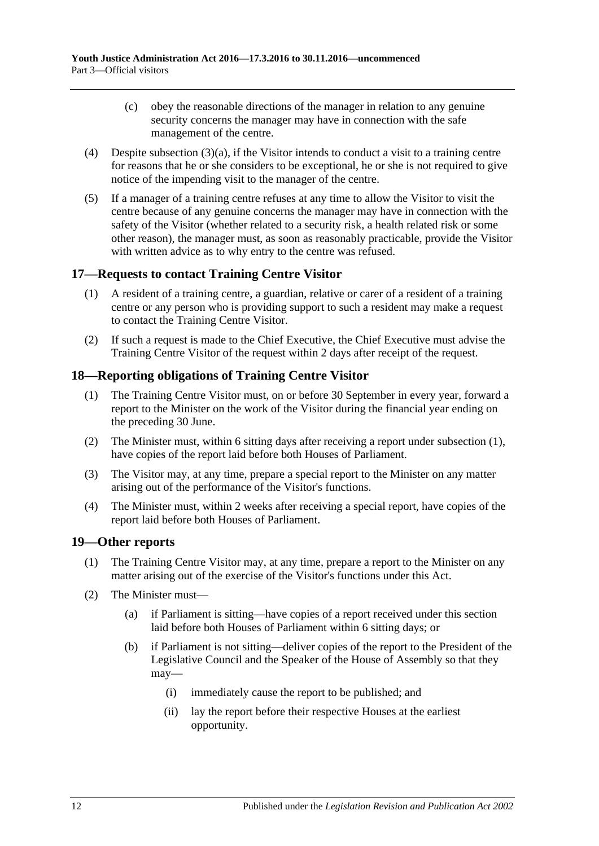- (c) obey the reasonable directions of the manager in relation to any genuine security concerns the manager may have in connection with the safe management of the centre.
- (4) Despite [subsection](#page-10-4)  $(3)(a)$ , if the Visitor intends to conduct a visit to a training centre for reasons that he or she considers to be exceptional, he or she is not required to give notice of the impending visit to the manager of the centre.
- (5) If a manager of a training centre refuses at any time to allow the Visitor to visit the centre because of any genuine concerns the manager may have in connection with the safety of the Visitor (whether related to a security risk, a health related risk or some other reason), the manager must, as soon as reasonably practicable, provide the Visitor with written advice as to why entry to the centre was refused.

### <span id="page-11-0"></span>**17—Requests to contact Training Centre Visitor**

- (1) A resident of a training centre, a guardian, relative or carer of a resident of a training centre or any person who is providing support to such a resident may make a request to contact the Training Centre Visitor.
- (2) If such a request is made to the Chief Executive, the Chief Executive must advise the Training Centre Visitor of the request within 2 days after receipt of the request.

#### <span id="page-11-3"></span><span id="page-11-1"></span>**18—Reporting obligations of Training Centre Visitor**

- (1) The Training Centre Visitor must, on or before 30 September in every year, forward a report to the Minister on the work of the Visitor during the financial year ending on the preceding 30 June.
- (2) The Minister must, within 6 sitting days after receiving a report under [subsection](#page-11-3) (1), have copies of the report laid before both Houses of Parliament.
- (3) The Visitor may, at any time, prepare a special report to the Minister on any matter arising out of the performance of the Visitor's functions.
- (4) The Minister must, within 2 weeks after receiving a special report, have copies of the report laid before both Houses of Parliament.

#### <span id="page-11-2"></span>**19—Other reports**

- (1) The Training Centre Visitor may, at any time, prepare a report to the Minister on any matter arising out of the exercise of the Visitor's functions under this Act.
- <span id="page-11-4"></span>(2) The Minister must—
	- (a) if Parliament is sitting—have copies of a report received under this section laid before both Houses of Parliament within 6 sitting days; or
	- (b) if Parliament is not sitting—deliver copies of the report to the President of the Legislative Council and the Speaker of the House of Assembly so that they may—
		- (i) immediately cause the report to be published; and
		- (ii) lay the report before their respective Houses at the earliest opportunity.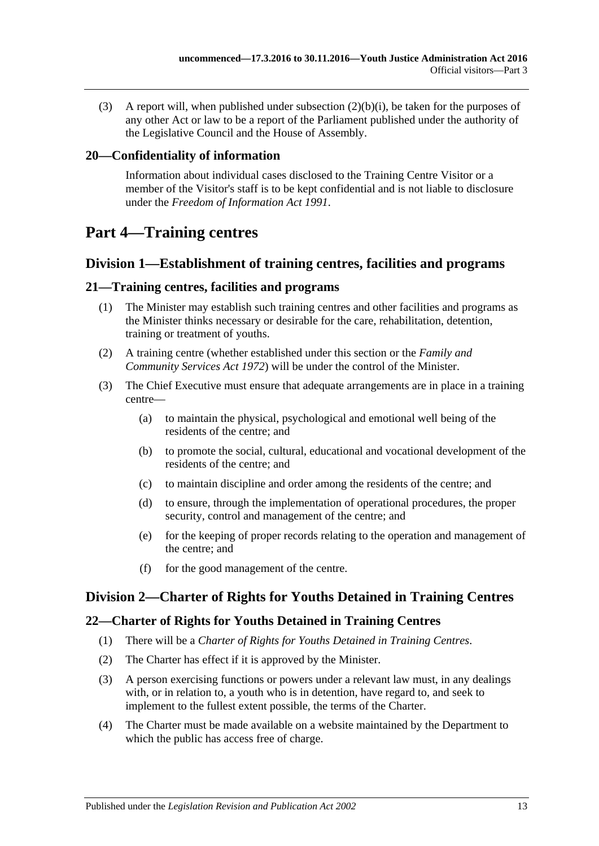(3) A report will, when published under [subsection](#page-11-4) (2)(b)(i), be taken for the purposes of any other Act or law to be a report of the Parliament published under the authority of the Legislative Council and the House of Assembly.

#### <span id="page-12-0"></span>**20—Confidentiality of information**

Information about individual cases disclosed to the Training Centre Visitor or a member of the Visitor's staff is to be kept confidential and is not liable to disclosure under the *[Freedom of Information Act](http://www.legislation.sa.gov.au/index.aspx?action=legref&type=act&legtitle=Freedom%20of%20Information%20Act%201991) 1991*.

## <span id="page-12-1"></span>**Part 4—Training centres**

### <span id="page-12-2"></span>**Division 1—Establishment of training centres, facilities and programs**

#### <span id="page-12-3"></span>**21—Training centres, facilities and programs**

- (1) The Minister may establish such training centres and other facilities and programs as the Minister thinks necessary or desirable for the care, rehabilitation, detention, training or treatment of youths.
- (2) A training centre (whether established under this section or the *[Family and](http://www.legislation.sa.gov.au/index.aspx?action=legref&type=act&legtitle=Family%20and%20Community%20Services%20Act%201972)  [Community Services Act](http://www.legislation.sa.gov.au/index.aspx?action=legref&type=act&legtitle=Family%20and%20Community%20Services%20Act%201972) 1972*) will be under the control of the Minister.
- (3) The Chief Executive must ensure that adequate arrangements are in place in a training centre—
	- (a) to maintain the physical, psychological and emotional well being of the residents of the centre; and
	- (b) to promote the social, cultural, educational and vocational development of the residents of the centre; and
	- (c) to maintain discipline and order among the residents of the centre; and
	- (d) to ensure, through the implementation of operational procedures, the proper security, control and management of the centre; and
	- (e) for the keeping of proper records relating to the operation and management of the centre; and
	- (f) for the good management of the centre.

### <span id="page-12-4"></span>**Division 2—Charter of Rights for Youths Detained in Training Centres**

#### <span id="page-12-5"></span>**22—Charter of Rights for Youths Detained in Training Centres**

- (1) There will be a *Charter of Rights for Youths Detained in Training Centres*.
- (2) The Charter has effect if it is approved by the Minister.
- (3) A person exercising functions or powers under a relevant law must, in any dealings with, or in relation to, a youth who is in detention, have regard to, and seek to implement to the fullest extent possible, the terms of the Charter.
- (4) The Charter must be made available on a website maintained by the Department to which the public has access free of charge.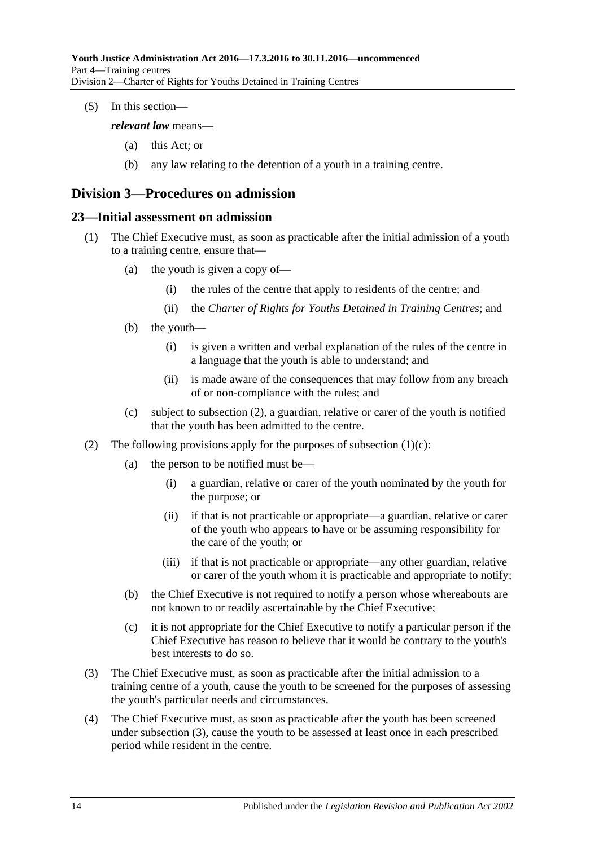(5) In this section—

*relevant law* means—

- (a) this Act; or
- (b) any law relating to the detention of a youth in a training centre.

## <span id="page-13-0"></span>**Division 3—Procedures on admission**

#### <span id="page-13-1"></span>**23—Initial assessment on admission**

- (1) The Chief Executive must, as soon as practicable after the initial admission of a youth to a training centre, ensure that—
	- (a) the youth is given a copy of—
		- (i) the rules of the centre that apply to residents of the centre; and
		- (ii) the *Charter of Rights for Youths Detained in Training Centres*; and
	- (b) the youth—
		- (i) is given a written and verbal explanation of the rules of the centre in a language that the youth is able to understand; and
		- (ii) is made aware of the consequences that may follow from any breach of or non-compliance with the rules; and
	- (c) subject to [subsection](#page-13-2) (2), a guardian, relative or carer of the youth is notified that the youth has been admitted to the centre.
- <span id="page-13-3"></span><span id="page-13-2"></span>(2) The following provisions apply for the purposes of [subsection](#page-13-3)  $(1)(c)$ :
	- (a) the person to be notified must be—
		- (i) a guardian, relative or carer of the youth nominated by the youth for the purpose; or
		- (ii) if that is not practicable or appropriate—a guardian, relative or carer of the youth who appears to have or be assuming responsibility for the care of the youth; or
		- (iii) if that is not practicable or appropriate—any other guardian, relative or carer of the youth whom it is practicable and appropriate to notify;
	- (b) the Chief Executive is not required to notify a person whose whereabouts are not known to or readily ascertainable by the Chief Executive;
	- (c) it is not appropriate for the Chief Executive to notify a particular person if the Chief Executive has reason to believe that it would be contrary to the youth's best interests to do so.
- <span id="page-13-4"></span>(3) The Chief Executive must, as soon as practicable after the initial admission to a training centre of a youth, cause the youth to be screened for the purposes of assessing the youth's particular needs and circumstances.
- <span id="page-13-5"></span>(4) The Chief Executive must, as soon as practicable after the youth has been screened under [subsection](#page-13-4) (3), cause the youth to be assessed at least once in each prescribed period while resident in the centre.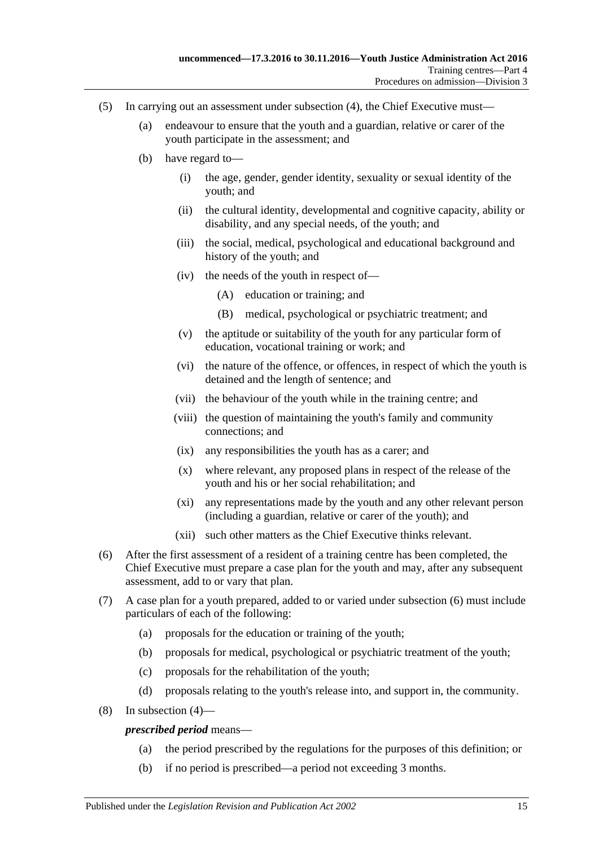- (5) In carrying out an assessment under [subsection](#page-13-5) (4), the Chief Executive must—
	- (a) endeavour to ensure that the youth and a guardian, relative or carer of the youth participate in the assessment; and
	- (b) have regard to—
		- (i) the age, gender, gender identity, sexuality or sexual identity of the youth; and
		- (ii) the cultural identity, developmental and cognitive capacity, ability or disability, and any special needs, of the youth; and
		- (iii) the social, medical, psychological and educational background and history of the youth; and
		- (iv) the needs of the youth in respect of—
			- (A) education or training; and
			- (B) medical, psychological or psychiatric treatment; and
		- (v) the aptitude or suitability of the youth for any particular form of education, vocational training or work; and
		- (vi) the nature of the offence, or offences, in respect of which the youth is detained and the length of sentence; and
		- (vii) the behaviour of the youth while in the training centre; and
		- (viii) the question of maintaining the youth's family and community connections; and
		- (ix) any responsibilities the youth has as a carer; and
		- (x) where relevant, any proposed plans in respect of the release of the youth and his or her social rehabilitation; and
		- (xi) any representations made by the youth and any other relevant person (including a guardian, relative or carer of the youth); and
		- (xii) such other matters as the Chief Executive thinks relevant.
- <span id="page-14-0"></span>(6) After the first assessment of a resident of a training centre has been completed, the Chief Executive must prepare a case plan for the youth and may, after any subsequent assessment, add to or vary that plan.
- (7) A case plan for a youth prepared, added to or varied under [subsection](#page-14-0) (6) must include particulars of each of the following:
	- (a) proposals for the education or training of the youth;
	- (b) proposals for medical, psychological or psychiatric treatment of the youth;
	- (c) proposals for the rehabilitation of the youth;
	- (d) proposals relating to the youth's release into, and support in, the community.
- (8) In [subsection](#page-13-5) (4)—

#### *prescribed period* means—

- (a) the period prescribed by the regulations for the purposes of this definition; or
- (b) if no period is prescribed—a period not exceeding 3 months.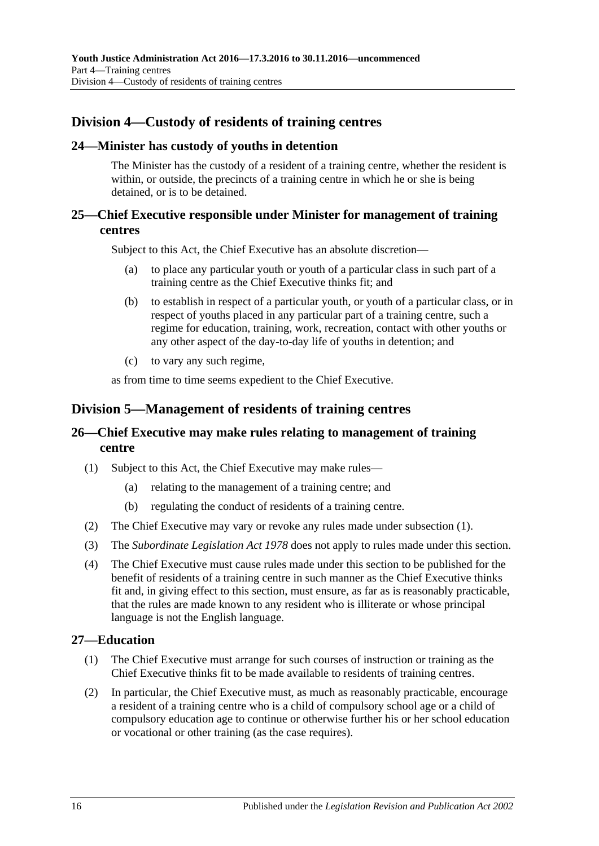## <span id="page-15-0"></span>**Division 4—Custody of residents of training centres**

#### <span id="page-15-1"></span>**24—Minister has custody of youths in detention**

The Minister has the custody of a resident of a training centre, whether the resident is within, or outside, the precincts of a training centre in which he or she is being detained, or is to be detained.

#### <span id="page-15-2"></span>**25—Chief Executive responsible under Minister for management of training centres**

Subject to this Act, the Chief Executive has an absolute discretion—

- (a) to place any particular youth or youth of a particular class in such part of a training centre as the Chief Executive thinks fit; and
- (b) to establish in respect of a particular youth, or youth of a particular class, or in respect of youths placed in any particular part of a training centre, such a regime for education, training, work, recreation, contact with other youths or any other aspect of the day-to-day life of youths in detention; and
- (c) to vary any such regime,

as from time to time seems expedient to the Chief Executive.

#### <span id="page-15-3"></span>**Division 5—Management of residents of training centres**

#### <span id="page-15-4"></span>**26—Chief Executive may make rules relating to management of training centre**

- <span id="page-15-6"></span>(1) Subject to this Act, the Chief Executive may make rules—
	- (a) relating to the management of a training centre; and
	- (b) regulating the conduct of residents of a training centre.
- (2) The Chief Executive may vary or revoke any rules made under [subsection](#page-15-6) (1).
- (3) The *[Subordinate Legislation Act](http://www.legislation.sa.gov.au/index.aspx?action=legref&type=act&legtitle=Subordinate%20Legislation%20Act%201978) 1978* does not apply to rules made under this section.
- (4) The Chief Executive must cause rules made under this section to be published for the benefit of residents of a training centre in such manner as the Chief Executive thinks fit and, in giving effect to this section, must ensure, as far as is reasonably practicable, that the rules are made known to any resident who is illiterate or whose principal language is not the English language.

#### <span id="page-15-5"></span>**27—Education**

- (1) The Chief Executive must arrange for such courses of instruction or training as the Chief Executive thinks fit to be made available to residents of training centres.
- (2) In particular, the Chief Executive must, as much as reasonably practicable, encourage a resident of a training centre who is a child of compulsory school age or a child of compulsory education age to continue or otherwise further his or her school education or vocational or other training (as the case requires).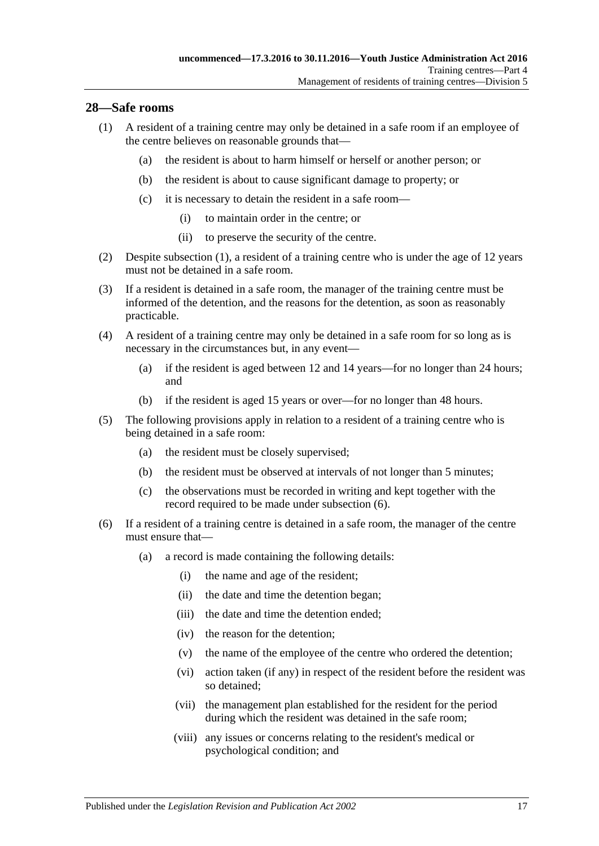#### <span id="page-16-1"></span><span id="page-16-0"></span>**28—Safe rooms**

- (1) A resident of a training centre may only be detained in a safe room if an employee of the centre believes on reasonable grounds that—
	- (a) the resident is about to harm himself or herself or another person; or
	- (b) the resident is about to cause significant damage to property; or
	- (c) it is necessary to detain the resident in a safe room—
		- (i) to maintain order in the centre; or
		- (ii) to preserve the security of the centre.
- (2) Despite [subsection](#page-16-1) (1), a resident of a training centre who is under the age of 12 years must not be detained in a safe room.
- (3) If a resident is detained in a safe room, the manager of the training centre must be informed of the detention, and the reasons for the detention, as soon as reasonably practicable.
- (4) A resident of a training centre may only be detained in a safe room for so long as is necessary in the circumstances but, in any event—
	- (a) if the resident is aged between 12 and 14 years—for no longer than 24 hours; and
	- (b) if the resident is aged 15 years or over—for no longer than 48 hours.
- (5) The following provisions apply in relation to a resident of a training centre who is being detained in a safe room:
	- (a) the resident must be closely supervised;
	- (b) the resident must be observed at intervals of not longer than 5 minutes;
	- (c) the observations must be recorded in writing and kept together with the record required to be made under [subsection](#page-16-2) (6).
- <span id="page-16-2"></span>(6) If a resident of a training centre is detained in a safe room, the manager of the centre must ensure that—
	- (a) a record is made containing the following details:
		- (i) the name and age of the resident;
		- (ii) the date and time the detention began;
		- (iii) the date and time the detention ended;
		- (iv) the reason for the detention;
		- (v) the name of the employee of the centre who ordered the detention;
		- (vi) action taken (if any) in respect of the resident before the resident was so detained;
		- (vii) the management plan established for the resident for the period during which the resident was detained in the safe room;
		- (viii) any issues or concerns relating to the resident's medical or psychological condition; and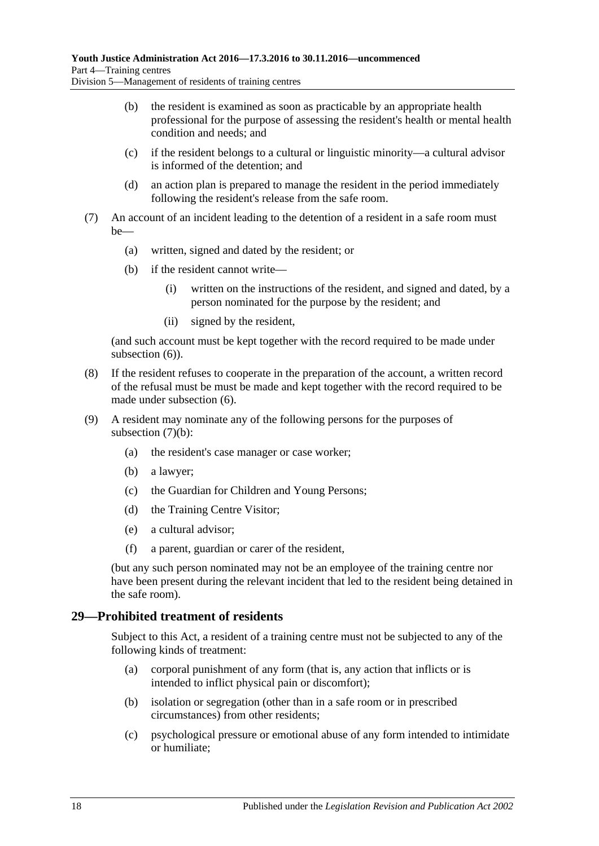- (b) the resident is examined as soon as practicable by an appropriate health professional for the purpose of assessing the resident's health or mental health condition and needs; and
- (c) if the resident belongs to a cultural or linguistic minority—a cultural advisor is informed of the detention; and
- (d) an action plan is prepared to manage the resident in the period immediately following the resident's release from the safe room.
- <span id="page-17-1"></span>(7) An account of an incident leading to the detention of a resident in a safe room must be—
	- (a) written, signed and dated by the resident; or
	- (b) if the resident cannot write—
		- (i) written on the instructions of the resident, and signed and dated, by a person nominated for the purpose by the resident; and
		- (ii) signed by the resident,

(and such account must be kept together with the record required to be made under [subsection](#page-16-2)  $(6)$ ).

- (8) If the resident refuses to cooperate in the preparation of the account, a written record of the refusal must be must be made and kept together with the record required to be made under [subsection](#page-16-2) (6).
- (9) A resident may nominate any of the following persons for the purposes of [subsection](#page-17-1)  $(7)(b)$ :
	- (a) the resident's case manager or case worker;
	- (b) a lawyer;
	- (c) the Guardian for Children and Young Persons;
	- (d) the Training Centre Visitor;
	- (e) a cultural advisor;
	- (f) a parent, guardian or carer of the resident,

(but any such person nominated may not be an employee of the training centre nor have been present during the relevant incident that led to the resident being detained in the safe room).

#### <span id="page-17-0"></span>**29—Prohibited treatment of residents**

Subject to this Act, a resident of a training centre must not be subjected to any of the following kinds of treatment:

- (a) corporal punishment of any form (that is, any action that inflicts or is intended to inflict physical pain or discomfort);
- (b) isolation or segregation (other than in a safe room or in prescribed circumstances) from other residents;
- (c) psychological pressure or emotional abuse of any form intended to intimidate or humiliate;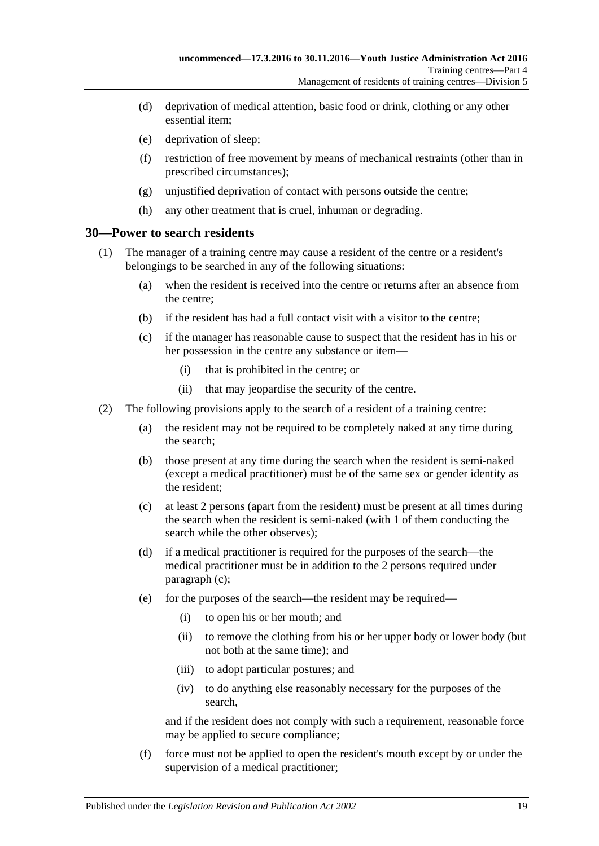- (d) deprivation of medical attention, basic food or drink, clothing or any other essential item;
- (e) deprivation of sleep;
- (f) restriction of free movement by means of mechanical restraints (other than in prescribed circumstances);
- (g) unjustified deprivation of contact with persons outside the centre;
- (h) any other treatment that is cruel, inhuman or degrading.

#### <span id="page-18-0"></span>**30—Power to search residents**

- (1) The manager of a training centre may cause a resident of the centre or a resident's belongings to be searched in any of the following situations:
	- (a) when the resident is received into the centre or returns after an absence from the centre;
	- (b) if the resident has had a full contact visit with a visitor to the centre;
	- (c) if the manager has reasonable cause to suspect that the resident has in his or her possession in the centre any substance or item—
		- (i) that is prohibited in the centre; or
		- (ii) that may jeopardise the security of the centre.
- <span id="page-18-2"></span><span id="page-18-1"></span>(2) The following provisions apply to the search of a resident of a training centre:
	- (a) the resident may not be required to be completely naked at any time during the search;
	- (b) those present at any time during the search when the resident is semi-naked (except a medical practitioner) must be of the same sex or gender identity as the resident;
	- (c) at least 2 persons (apart from the resident) must be present at all times during the search when the resident is semi-naked (with 1 of them conducting the search while the other observes);
	- (d) if a medical practitioner is required for the purposes of the search—the medical practitioner must be in addition to the 2 persons required under [paragraph](#page-18-1) (c);
	- (e) for the purposes of the search—the resident may be required—
		- (i) to open his or her mouth; and
		- (ii) to remove the clothing from his or her upper body or lower body (but not both at the same time); and
		- (iii) to adopt particular postures; and
		- (iv) to do anything else reasonably necessary for the purposes of the search,

and if the resident does not comply with such a requirement, reasonable force may be applied to secure compliance;

(f) force must not be applied to open the resident's mouth except by or under the supervision of a medical practitioner;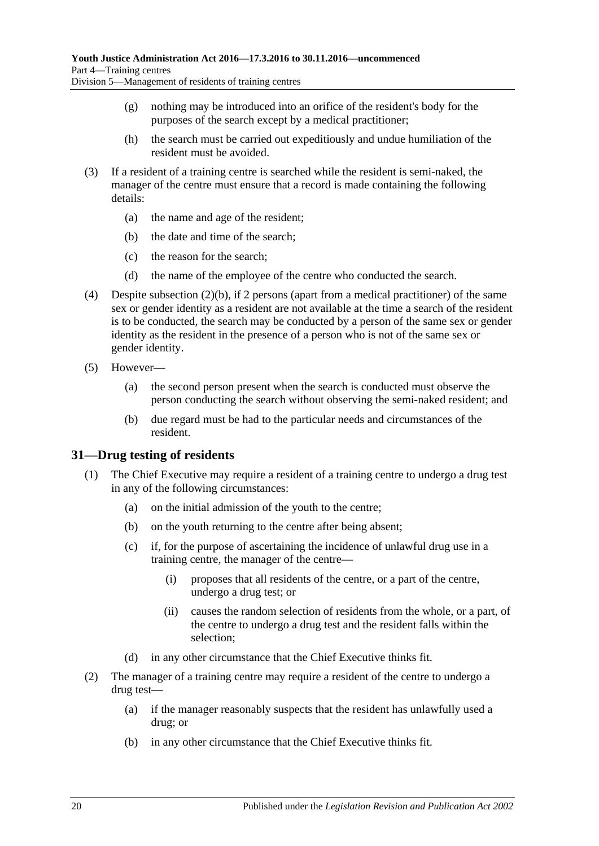- (g) nothing may be introduced into an orifice of the resident's body for the purposes of the search except by a medical practitioner;
- (h) the search must be carried out expeditiously and undue humiliation of the resident must be avoided.
- (3) If a resident of a training centre is searched while the resident is semi-naked, the manager of the centre must ensure that a record is made containing the following details:
	- (a) the name and age of the resident;
	- (b) the date and time of the search;
	- (c) the reason for the search;
	- (d) the name of the employee of the centre who conducted the search.
- (4) Despite [subsection](#page-18-2) (2)(b), if 2 persons (apart from a medical practitioner) of the same sex or gender identity as a resident are not available at the time a search of the resident is to be conducted, the search may be conducted by a person of the same sex or gender identity as the resident in the presence of a person who is not of the same sex or gender identity.
- (5) However—
	- (a) the second person present when the search is conducted must observe the person conducting the search without observing the semi-naked resident; and
	- (b) due regard must be had to the particular needs and circumstances of the resident.

#### <span id="page-19-0"></span>**31—Drug testing of residents**

- (1) The Chief Executive may require a resident of a training centre to undergo a drug test in any of the following circumstances:
	- (a) on the initial admission of the youth to the centre;
	- (b) on the youth returning to the centre after being absent;
	- (c) if, for the purpose of ascertaining the incidence of unlawful drug use in a training centre, the manager of the centre—
		- (i) proposes that all residents of the centre, or a part of the centre, undergo a drug test; or
		- (ii) causes the random selection of residents from the whole, or a part, of the centre to undergo a drug test and the resident falls within the selection;
	- (d) in any other circumstance that the Chief Executive thinks fit.
- <span id="page-19-2"></span><span id="page-19-1"></span>(2) The manager of a training centre may require a resident of the centre to undergo a drug test—
	- (a) if the manager reasonably suspects that the resident has unlawfully used a drug; or
	- (b) in any other circumstance that the Chief Executive thinks fit.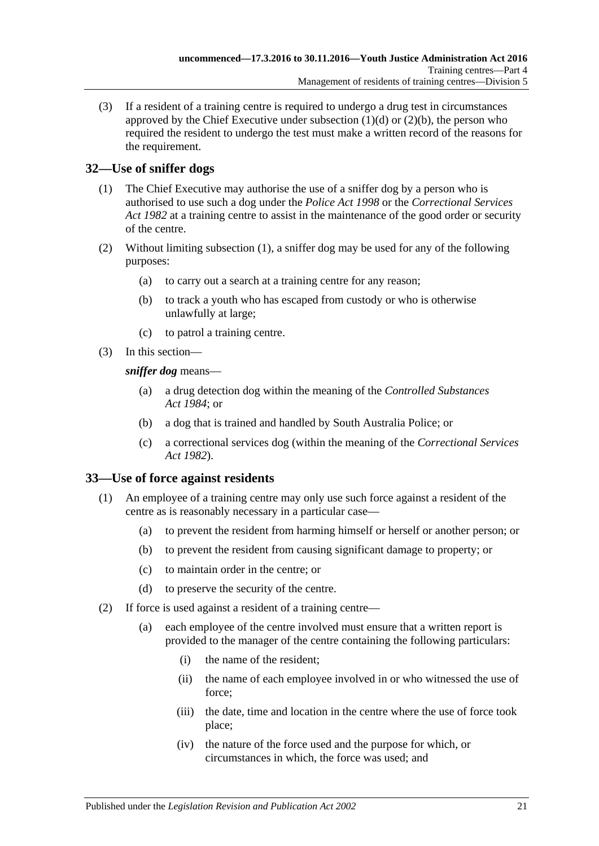(3) If a resident of a training centre is required to undergo a drug test in circumstances approved by the Chief Executive under [subsection](#page-19-1)  $(1)(d)$  or  $(2)(b)$ , the person who required the resident to undergo the test must make a written record of the reasons for the requirement.

## <span id="page-20-2"></span><span id="page-20-0"></span>**32—Use of sniffer dogs**

- (1) The Chief Executive may authorise the use of a sniffer dog by a person who is authorised to use such a dog under the *[Police Act](http://www.legislation.sa.gov.au/index.aspx?action=legref&type=act&legtitle=Police%20Act%201998) 1998* or the *[Correctional Services](http://www.legislation.sa.gov.au/index.aspx?action=legref&type=act&legtitle=Correctional%20Services%20Act%201982)  Act [1982](http://www.legislation.sa.gov.au/index.aspx?action=legref&type=act&legtitle=Correctional%20Services%20Act%201982)* at a training centre to assist in the maintenance of the good order or security of the centre.
- (2) Without limiting [subsection](#page-20-2) (1), a sniffer dog may be used for any of the following purposes:
	- (a) to carry out a search at a training centre for any reason;
	- (b) to track a youth who has escaped from custody or who is otherwise unlawfully at large;
	- (c) to patrol a training centre.
- (3) In this section—

*sniffer dog* means—

- (a) a drug detection dog within the meaning of the *[Controlled Substances](http://www.legislation.sa.gov.au/index.aspx?action=legref&type=act&legtitle=Controlled%20Substances%20Act%201984)  Act [1984](http://www.legislation.sa.gov.au/index.aspx?action=legref&type=act&legtitle=Controlled%20Substances%20Act%201984)*; or
- (b) a dog that is trained and handled by South Australia Police; or
- (c) a correctional services dog (within the meaning of the *[Correctional Services](http://www.legislation.sa.gov.au/index.aspx?action=legref&type=act&legtitle=Correctional%20Services%20Act%201982)  Act [1982](http://www.legislation.sa.gov.au/index.aspx?action=legref&type=act&legtitle=Correctional%20Services%20Act%201982)*).

### <span id="page-20-1"></span>**33—Use of force against residents**

- (1) An employee of a training centre may only use such force against a resident of the centre as is reasonably necessary in a particular case—
	- (a) to prevent the resident from harming himself or herself or another person; or
	- (b) to prevent the resident from causing significant damage to property; or
	- (c) to maintain order in the centre; or
	- (d) to preserve the security of the centre.
- <span id="page-20-3"></span>(2) If force is used against a resident of a training centre—
	- (a) each employee of the centre involved must ensure that a written report is provided to the manager of the centre containing the following particulars:
		- (i) the name of the resident;
		- (ii) the name of each employee involved in or who witnessed the use of force;
		- (iii) the date, time and location in the centre where the use of force took place;
		- (iv) the nature of the force used and the purpose for which, or circumstances in which, the force was used; and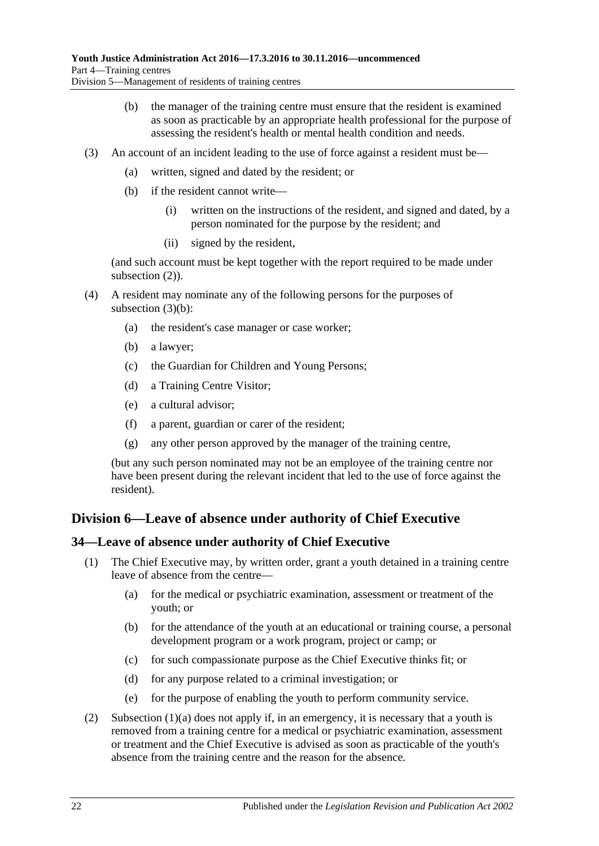- (b) the manager of the training centre must ensure that the resident is examined as soon as practicable by an appropriate health professional for the purpose of assessing the resident's health or mental health condition and needs.
- <span id="page-21-2"></span>(3) An account of an incident leading to the use of force against a resident must be—
	- (a) written, signed and dated by the resident; or
	- (b) if the resident cannot write—
		- (i) written on the instructions of the resident, and signed and dated, by a person nominated for the purpose by the resident; and
		- (ii) signed by the resident,

(and such account must be kept together with the report required to be made under [subsection](#page-20-3)  $(2)$ ).

- (4) A resident may nominate any of the following persons for the purposes of [subsection](#page-21-2) (3)(b):
	- (a) the resident's case manager or case worker;
	- (b) a lawyer;
	- (c) the Guardian for Children and Young Persons;
	- (d) a Training Centre Visitor;
	- (e) a cultural advisor;
	- (f) a parent, guardian or carer of the resident;
	- (g) any other person approved by the manager of the training centre,

(but any such person nominated may not be an employee of the training centre nor have been present during the relevant incident that led to the use of force against the resident).

## <span id="page-21-0"></span>**Division 6—Leave of absence under authority of Chief Executive**

#### <span id="page-21-1"></span>**34—Leave of absence under authority of Chief Executive**

- <span id="page-21-3"></span>(1) The Chief Executive may, by written order, grant a youth detained in a training centre leave of absence from the centre—
	- (a) for the medical or psychiatric examination, assessment or treatment of the youth; or
	- (b) for the attendance of the youth at an educational or training course, a personal development program or a work program, project or camp; or
	- (c) for such compassionate purpose as the Chief Executive thinks fit; or
	- (d) for any purpose related to a criminal investigation; or
	- (e) for the purpose of enabling the youth to perform community service.
- (2) [Subsection \(1\)\(a\)](#page-21-3) does not apply if, in an emergency, it is necessary that a youth is removed from a training centre for a medical or psychiatric examination, assessment or treatment and the Chief Executive is advised as soon as practicable of the youth's absence from the training centre and the reason for the absence.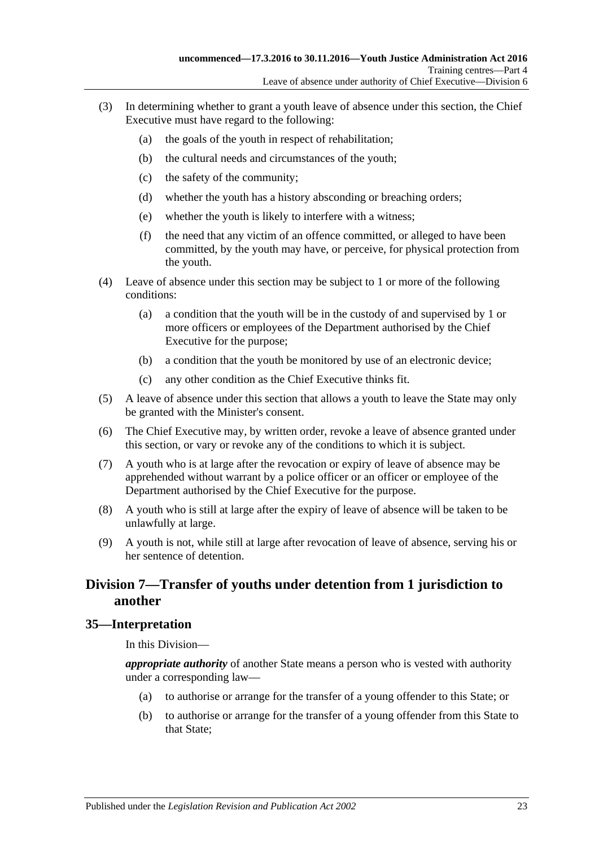- (3) In determining whether to grant a youth leave of absence under this section, the Chief Executive must have regard to the following:
	- (a) the goals of the youth in respect of rehabilitation;
	- (b) the cultural needs and circumstances of the youth;
	- (c) the safety of the community;
	- (d) whether the youth has a history absconding or breaching orders;
	- (e) whether the youth is likely to interfere with a witness;
	- (f) the need that any victim of an offence committed, or alleged to have been committed, by the youth may have, or perceive, for physical protection from the youth.
- (4) Leave of absence under this section may be subject to 1 or more of the following conditions:
	- (a) a condition that the youth will be in the custody of and supervised by 1 or more officers or employees of the Department authorised by the Chief Executive for the purpose;
	- (b) a condition that the youth be monitored by use of an electronic device;
	- (c) any other condition as the Chief Executive thinks fit.
- (5) A leave of absence under this section that allows a youth to leave the State may only be granted with the Minister's consent.
- (6) The Chief Executive may, by written order, revoke a leave of absence granted under this section, or vary or revoke any of the conditions to which it is subject.
- (7) A youth who is at large after the revocation or expiry of leave of absence may be apprehended without warrant by a police officer or an officer or employee of the Department authorised by the Chief Executive for the purpose.
- (8) A youth who is still at large after the expiry of leave of absence will be taken to be unlawfully at large.
- (9) A youth is not, while still at large after revocation of leave of absence, serving his or her sentence of detention.

## <span id="page-22-0"></span>**Division 7—Transfer of youths under detention from 1 jurisdiction to another**

#### <span id="page-22-1"></span>**35—Interpretation**

In this Division—

*appropriate authority* of another State means a person who is vested with authority under a corresponding law—

- (a) to authorise or arrange for the transfer of a young offender to this State; or
- (b) to authorise or arrange for the transfer of a young offender from this State to that State;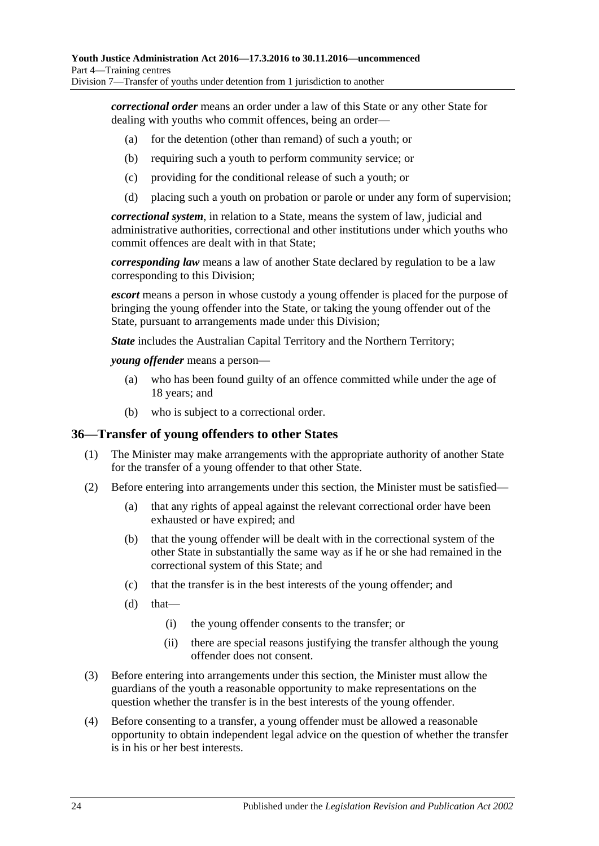*correctional order* means an order under a law of this State or any other State for dealing with youths who commit offences, being an order—

- (a) for the detention (other than remand) of such a youth; or
- (b) requiring such a youth to perform community service; or
- (c) providing for the conditional release of such a youth; or
- (d) placing such a youth on probation or parole or under any form of supervision;

*correctional system*, in relation to a State, means the system of law, judicial and administrative authorities, correctional and other institutions under which youths who commit offences are dealt with in that State;

*corresponding law* means a law of another State declared by regulation to be a law corresponding to this Division;

*escort* means a person in whose custody a young offender is placed for the purpose of bringing the young offender into the State, or taking the young offender out of the State, pursuant to arrangements made under this Division;

*State* includes the Australian Capital Territory and the Northern Territory;

*young offender* means a person—

- (a) who has been found guilty of an offence committed while under the age of 18 years; and
- (b) who is subject to a correctional order.

#### <span id="page-23-0"></span>**36—Transfer of young offenders to other States**

- (1) The Minister may make arrangements with the appropriate authority of another State for the transfer of a young offender to that other State.
- (2) Before entering into arrangements under this section, the Minister must be satisfied—
	- (a) that any rights of appeal against the relevant correctional order have been exhausted or have expired; and
	- (b) that the young offender will be dealt with in the correctional system of the other State in substantially the same way as if he or she had remained in the correctional system of this State; and
	- (c) that the transfer is in the best interests of the young offender; and
	- $(d)$  that—
		- (i) the young offender consents to the transfer; or
		- (ii) there are special reasons justifying the transfer although the young offender does not consent.
- (3) Before entering into arrangements under this section, the Minister must allow the guardians of the youth a reasonable opportunity to make representations on the question whether the transfer is in the best interests of the young offender.
- (4) Before consenting to a transfer, a young offender must be allowed a reasonable opportunity to obtain independent legal advice on the question of whether the transfer is in his or her best interests.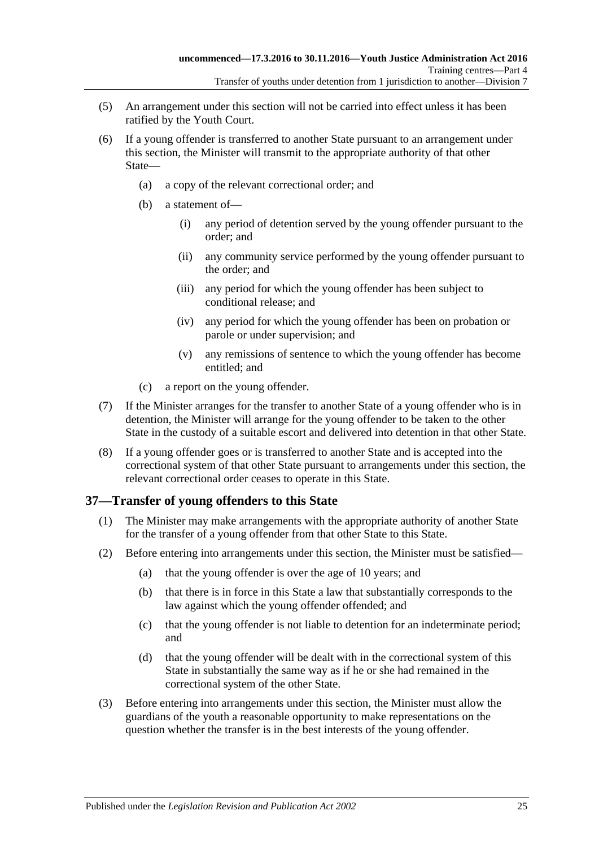- (5) An arrangement under this section will not be carried into effect unless it has been ratified by the Youth Court.
- (6) If a young offender is transferred to another State pursuant to an arrangement under this section, the Minister will transmit to the appropriate authority of that other State—
	- (a) a copy of the relevant correctional order; and
	- (b) a statement of—
		- (i) any period of detention served by the young offender pursuant to the order; and
		- (ii) any community service performed by the young offender pursuant to the order; and
		- (iii) any period for which the young offender has been subject to conditional release; and
		- (iv) any period for which the young offender has been on probation or parole or under supervision; and
		- (v) any remissions of sentence to which the young offender has become entitled; and
	- (c) a report on the young offender.
- (7) If the Minister arranges for the transfer to another State of a young offender who is in detention, the Minister will arrange for the young offender to be taken to the other State in the custody of a suitable escort and delivered into detention in that other State.
- (8) If a young offender goes or is transferred to another State and is accepted into the correctional system of that other State pursuant to arrangements under this section, the relevant correctional order ceases to operate in this State.

#### <span id="page-24-0"></span>**37—Transfer of young offenders to this State**

- (1) The Minister may make arrangements with the appropriate authority of another State for the transfer of a young offender from that other State to this State.
- (2) Before entering into arrangements under this section, the Minister must be satisfied—
	- (a) that the young offender is over the age of 10 years; and
	- (b) that there is in force in this State a law that substantially corresponds to the law against which the young offender offended; and
	- (c) that the young offender is not liable to detention for an indeterminate period; and
	- (d) that the young offender will be dealt with in the correctional system of this State in substantially the same way as if he or she had remained in the correctional system of the other State.
- (3) Before entering into arrangements under this section, the Minister must allow the guardians of the youth a reasonable opportunity to make representations on the question whether the transfer is in the best interests of the young offender.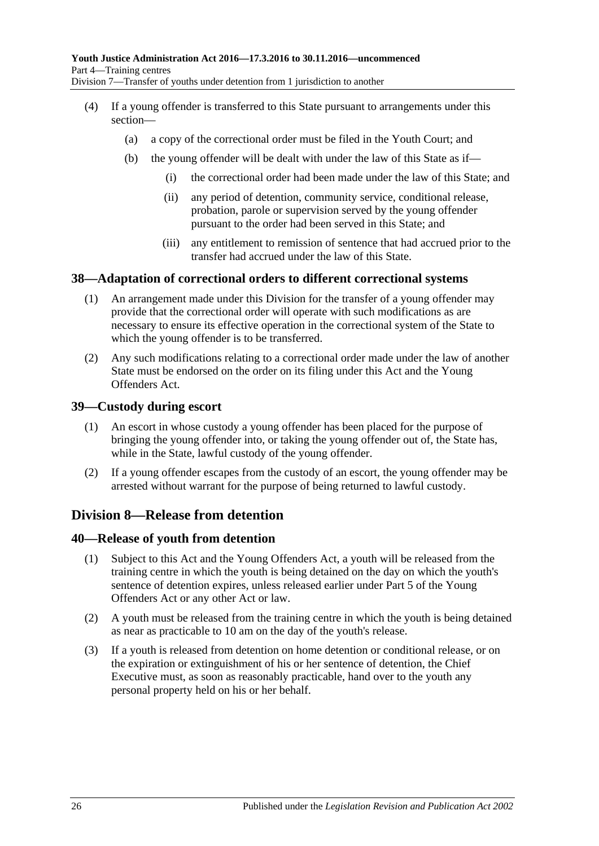- (4) If a young offender is transferred to this State pursuant to arrangements under this section—
	- (a) a copy of the correctional order must be filed in the Youth Court; and
	- (b) the young offender will be dealt with under the law of this State as if—
		- (i) the correctional order had been made under the law of this State; and
		- (ii) any period of detention, community service, conditional release, probation, parole or supervision served by the young offender pursuant to the order had been served in this State; and
		- (iii) any entitlement to remission of sentence that had accrued prior to the transfer had accrued under the law of this State.

#### <span id="page-25-0"></span>**38—Adaptation of correctional orders to different correctional systems**

- (1) An arrangement made under this Division for the transfer of a young offender may provide that the correctional order will operate with such modifications as are necessary to ensure its effective operation in the correctional system of the State to which the young offender is to be transferred.
- (2) Any such modifications relating to a correctional order made under the law of another State must be endorsed on the order on its filing under this Act and the Young Offenders Act.

#### <span id="page-25-1"></span>**39—Custody during escort**

- (1) An escort in whose custody a young offender has been placed for the purpose of bringing the young offender into, or taking the young offender out of, the State has, while in the State, lawful custody of the young offender.
- (2) If a young offender escapes from the custody of an escort, the young offender may be arrested without warrant for the purpose of being returned to lawful custody.

### <span id="page-25-2"></span>**Division 8—Release from detention**

#### <span id="page-25-3"></span>**40—Release of youth from detention**

- (1) Subject to this Act and the Young Offenders Act, a youth will be released from the training centre in which the youth is being detained on the day on which the youth's sentence of detention expires, unless released earlier under Part 5 of the Young Offenders Act or any other Act or law.
- (2) A youth must be released from the training centre in which the youth is being detained as near as practicable to 10 am on the day of the youth's release.
- (3) If a youth is released from detention on home detention or conditional release, or on the expiration or extinguishment of his or her sentence of detention, the Chief Executive must, as soon as reasonably practicable, hand over to the youth any personal property held on his or her behalf.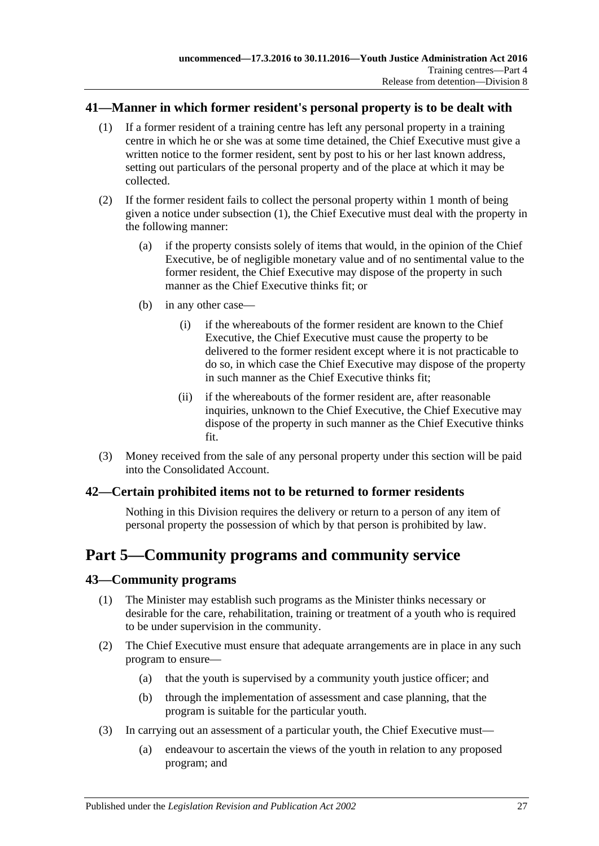#### <span id="page-26-4"></span><span id="page-26-0"></span>**41—Manner in which former resident's personal property is to be dealt with**

- (1) If a former resident of a training centre has left any personal property in a training centre in which he or she was at some time detained, the Chief Executive must give a written notice to the former resident, sent by post to his or her last known address, setting out particulars of the personal property and of the place at which it may be collected.
- (2) If the former resident fails to collect the personal property within 1 month of being given a notice under [subsection](#page-26-4) (1), the Chief Executive must deal with the property in the following manner:
	- (a) if the property consists solely of items that would, in the opinion of the Chief Executive, be of negligible monetary value and of no sentimental value to the former resident, the Chief Executive may dispose of the property in such manner as the Chief Executive thinks fit; or
	- (b) in any other case—
		- (i) if the whereabouts of the former resident are known to the Chief Executive, the Chief Executive must cause the property to be delivered to the former resident except where it is not practicable to do so, in which case the Chief Executive may dispose of the property in such manner as the Chief Executive thinks fit;
		- (ii) if the whereabouts of the former resident are, after reasonable inquiries, unknown to the Chief Executive, the Chief Executive may dispose of the property in such manner as the Chief Executive thinks fit.
- (3) Money received from the sale of any personal property under this section will be paid into the Consolidated Account.

#### <span id="page-26-1"></span>**42—Certain prohibited items not to be returned to former residents**

Nothing in this Division requires the delivery or return to a person of any item of personal property the possession of which by that person is prohibited by law.

## <span id="page-26-2"></span>**Part 5—Community programs and community service**

#### <span id="page-26-3"></span>**43—Community programs**

- (1) The Minister may establish such programs as the Minister thinks necessary or desirable for the care, rehabilitation, training or treatment of a youth who is required to be under supervision in the community.
- (2) The Chief Executive must ensure that adequate arrangements are in place in any such program to ensure—
	- (a) that the youth is supervised by a community youth justice officer; and
	- (b) through the implementation of assessment and case planning, that the program is suitable for the particular youth.
- (3) In carrying out an assessment of a particular youth, the Chief Executive must—
	- (a) endeavour to ascertain the views of the youth in relation to any proposed program; and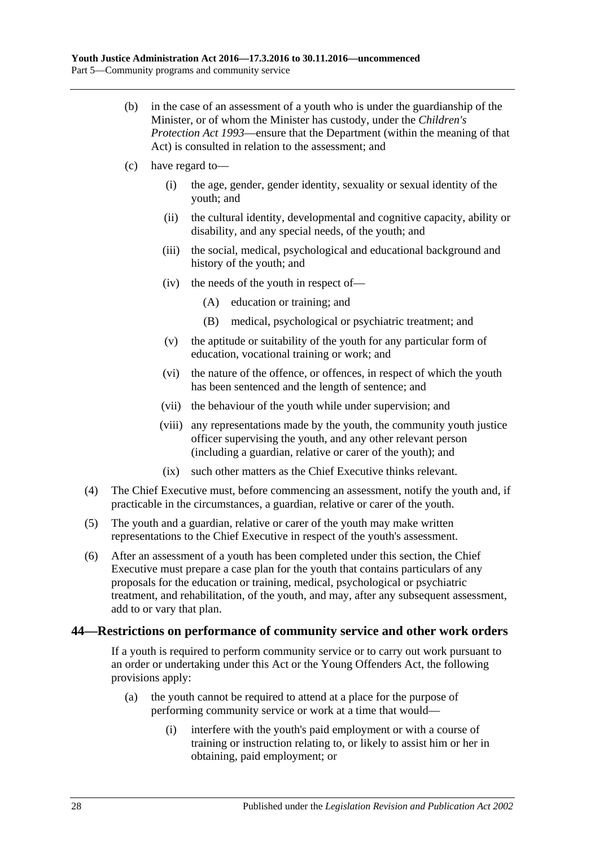- (b) in the case of an assessment of a youth who is under the guardianship of the Minister, or of whom the Minister has custody, under the *[Children's](http://www.legislation.sa.gov.au/index.aspx?action=legref&type=act&legtitle=Childrens%20Protection%20Act%201993)  [Protection Act](http://www.legislation.sa.gov.au/index.aspx?action=legref&type=act&legtitle=Childrens%20Protection%20Act%201993) 1993*—ensure that the Department (within the meaning of that Act) is consulted in relation to the assessment; and
- (c) have regard to—
	- (i) the age, gender, gender identity, sexuality or sexual identity of the youth; and
	- (ii) the cultural identity, developmental and cognitive capacity, ability or disability, and any special needs, of the youth; and
	- (iii) the social, medical, psychological and educational background and history of the youth; and
	- (iv) the needs of the youth in respect of—
		- (A) education or training; and
		- (B) medical, psychological or psychiatric treatment; and
	- (v) the aptitude or suitability of the youth for any particular form of education, vocational training or work; and
	- (vi) the nature of the offence, or offences, in respect of which the youth has been sentenced and the length of sentence; and
	- (vii) the behaviour of the youth while under supervision; and
	- (viii) any representations made by the youth, the community youth justice officer supervising the youth, and any other relevant person (including a guardian, relative or carer of the youth); and
	- (ix) such other matters as the Chief Executive thinks relevant.
- (4) The Chief Executive must, before commencing an assessment, notify the youth and, if practicable in the circumstances, a guardian, relative or carer of the youth.
- (5) The youth and a guardian, relative or carer of the youth may make written representations to the Chief Executive in respect of the youth's assessment.
- (6) After an assessment of a youth has been completed under this section, the Chief Executive must prepare a case plan for the youth that contains particulars of any proposals for the education or training, medical, psychological or psychiatric treatment, and rehabilitation, of the youth, and may, after any subsequent assessment, add to or vary that plan.

#### <span id="page-27-0"></span>**44—Restrictions on performance of community service and other work orders**

If a youth is required to perform community service or to carry out work pursuant to an order or undertaking under this Act or the Young Offenders Act, the following provisions apply:

- (a) the youth cannot be required to attend at a place for the purpose of performing community service or work at a time that would—
	- (i) interfere with the youth's paid employment or with a course of training or instruction relating to, or likely to assist him or her in obtaining, paid employment; or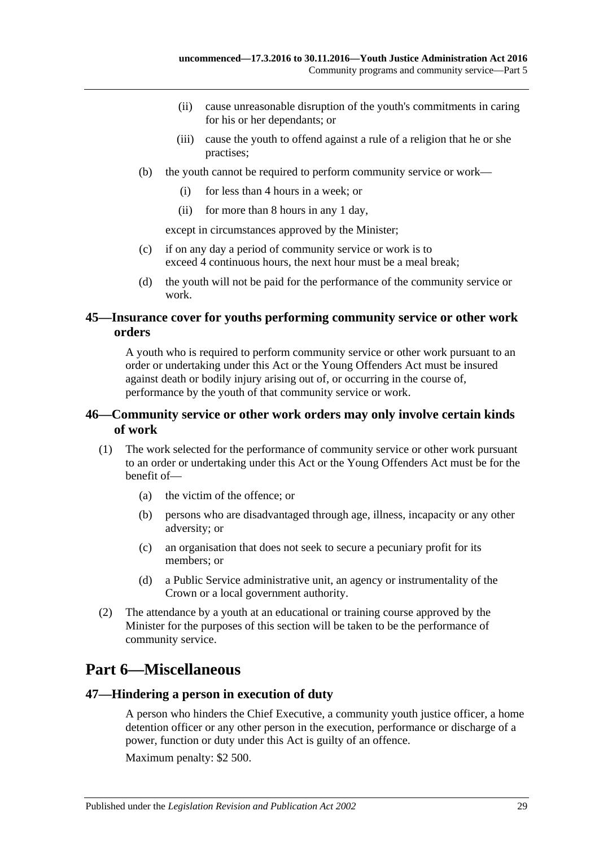- (ii) cause unreasonable disruption of the youth's commitments in caring for his or her dependants; or
- (iii) cause the youth to offend against a rule of a religion that he or she practises;
- (b) the youth cannot be required to perform community service or work—
	- (i) for less than 4 hours in a week; or
	- (ii) for more than 8 hours in any 1 day,

except in circumstances approved by the Minister;

- (c) if on any day a period of community service or work is to exceed 4 continuous hours, the next hour must be a meal break;
- (d) the youth will not be paid for the performance of the community service or work.

#### <span id="page-28-0"></span>**45—Insurance cover for youths performing community service or other work orders**

A youth who is required to perform community service or other work pursuant to an order or undertaking under this Act or the Young Offenders Act must be insured against death or bodily injury arising out of, or occurring in the course of, performance by the youth of that community service or work.

#### <span id="page-28-1"></span>**46—Community service or other work orders may only involve certain kinds of work**

- (1) The work selected for the performance of community service or other work pursuant to an order or undertaking under this Act or the Young Offenders Act must be for the benefit of—
	- (a) the victim of the offence; or
	- (b) persons who are disadvantaged through age, illness, incapacity or any other adversity; or
	- (c) an organisation that does not seek to secure a pecuniary profit for its members; or
	- (d) a Public Service administrative unit, an agency or instrumentality of the Crown or a local government authority.
- (2) The attendance by a youth at an educational or training course approved by the Minister for the purposes of this section will be taken to be the performance of community service.

## <span id="page-28-2"></span>**Part 6—Miscellaneous**

#### <span id="page-28-3"></span>**47—Hindering a person in execution of duty**

A person who hinders the Chief Executive, a community youth justice officer, a home detention officer or any other person in the execution, performance or discharge of a power, function or duty under this Act is guilty of an offence.

Maximum penalty: \$2 500.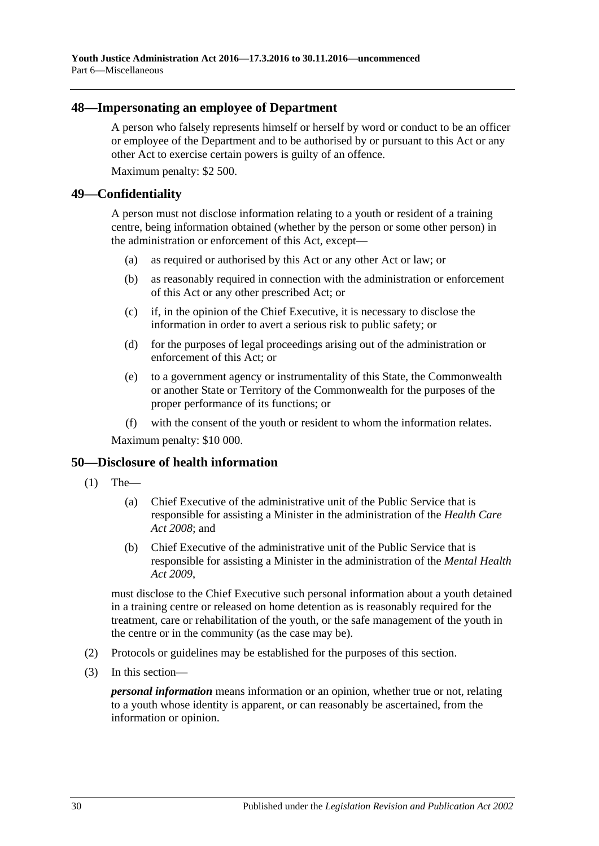#### <span id="page-29-0"></span>**48—Impersonating an employee of Department**

A person who falsely represents himself or herself by word or conduct to be an officer or employee of the Department and to be authorised by or pursuant to this Act or any other Act to exercise certain powers is guilty of an offence.

Maximum penalty: \$2 500.

#### <span id="page-29-1"></span>**49—Confidentiality**

A person must not disclose information relating to a youth or resident of a training centre, being information obtained (whether by the person or some other person) in the administration or enforcement of this Act, except—

- (a) as required or authorised by this Act or any other Act or law; or
- (b) as reasonably required in connection with the administration or enforcement of this Act or any other prescribed Act; or
- (c) if, in the opinion of the Chief Executive, it is necessary to disclose the information in order to avert a serious risk to public safety; or
- (d) for the purposes of legal proceedings arising out of the administration or enforcement of this Act; or
- (e) to a government agency or instrumentality of this State, the Commonwealth or another State or Territory of the Commonwealth for the purposes of the proper performance of its functions; or
- (f) with the consent of the youth or resident to whom the information relates.

Maximum penalty: \$10 000.

#### <span id="page-29-2"></span>**50—Disclosure of health information**

- $(1)$  The—
	- (a) Chief Executive of the administrative unit of the Public Service that is responsible for assisting a Minister in the administration of the *[Health Care](http://www.legislation.sa.gov.au/index.aspx?action=legref&type=act&legtitle=Health%20Care%20Act%202008)  Act [2008](http://www.legislation.sa.gov.au/index.aspx?action=legref&type=act&legtitle=Health%20Care%20Act%202008)*; and
	- (b) Chief Executive of the administrative unit of the Public Service that is responsible for assisting a Minister in the administration of the *[Mental Health](http://www.legislation.sa.gov.au/index.aspx?action=legref&type=act&legtitle=Mental%20Health%20Act%202009)  Act [2009](http://www.legislation.sa.gov.au/index.aspx?action=legref&type=act&legtitle=Mental%20Health%20Act%202009)*,

must disclose to the Chief Executive such personal information about a youth detained in a training centre or released on home detention as is reasonably required for the treatment, care or rehabilitation of the youth, or the safe management of the youth in the centre or in the community (as the case may be).

- (2) Protocols or guidelines may be established for the purposes of this section.
- (3) In this section—

*personal information* means information or an opinion, whether true or not, relating to a youth whose identity is apparent, or can reasonably be ascertained, from the information or opinion.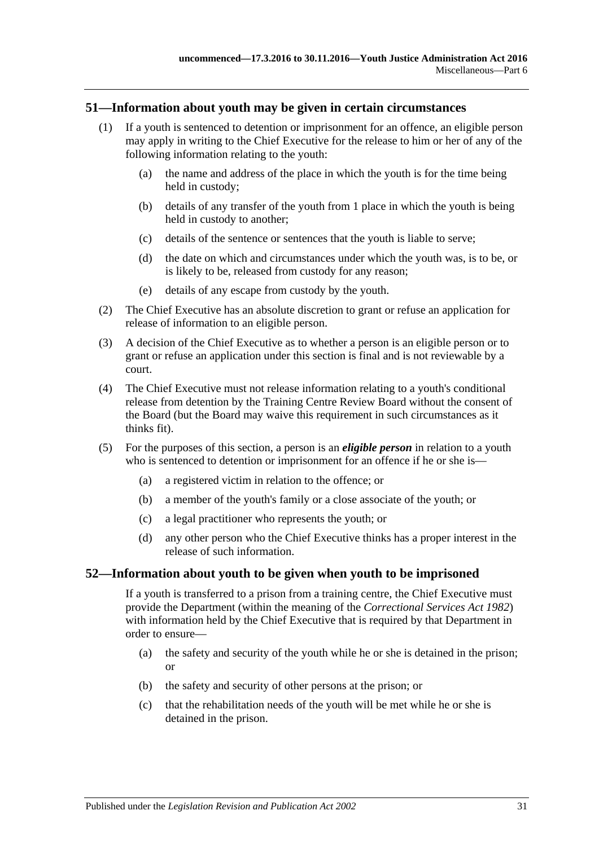#### <span id="page-30-0"></span>**51—Information about youth may be given in certain circumstances**

- (1) If a youth is sentenced to detention or imprisonment for an offence, an eligible person may apply in writing to the Chief Executive for the release to him or her of any of the following information relating to the youth:
	- (a) the name and address of the place in which the youth is for the time being held in custody;
	- (b) details of any transfer of the youth from 1 place in which the youth is being held in custody to another;
	- (c) details of the sentence or sentences that the youth is liable to serve;
	- (d) the date on which and circumstances under which the youth was, is to be, or is likely to be, released from custody for any reason;
	- (e) details of any escape from custody by the youth.
- (2) The Chief Executive has an absolute discretion to grant or refuse an application for release of information to an eligible person.
- (3) A decision of the Chief Executive as to whether a person is an eligible person or to grant or refuse an application under this section is final and is not reviewable by a court.
- (4) The Chief Executive must not release information relating to a youth's conditional release from detention by the Training Centre Review Board without the consent of the Board (but the Board may waive this requirement in such circumstances as it thinks fit).
- (5) For the purposes of this section, a person is an *eligible person* in relation to a youth who is sentenced to detention or imprisonment for an offence if he or she is—
	- (a) a registered victim in relation to the offence; or
	- (b) a member of the youth's family or a close associate of the youth; or
	- (c) a legal practitioner who represents the youth; or
	- (d) any other person who the Chief Executive thinks has a proper interest in the release of such information.

#### <span id="page-30-1"></span>**52—Information about youth to be given when youth to be imprisoned**

If a youth is transferred to a prison from a training centre, the Chief Executive must provide the Department (within the meaning of the *[Correctional Services Act](http://www.legislation.sa.gov.au/index.aspx?action=legref&type=act&legtitle=Correctional%20Services%20Act%201982) 1982*) with information held by the Chief Executive that is required by that Department in order to ensure—

- (a) the safety and security of the youth while he or she is detained in the prison; or
- (b) the safety and security of other persons at the prison; or
- (c) that the rehabilitation needs of the youth will be met while he or she is detained in the prison.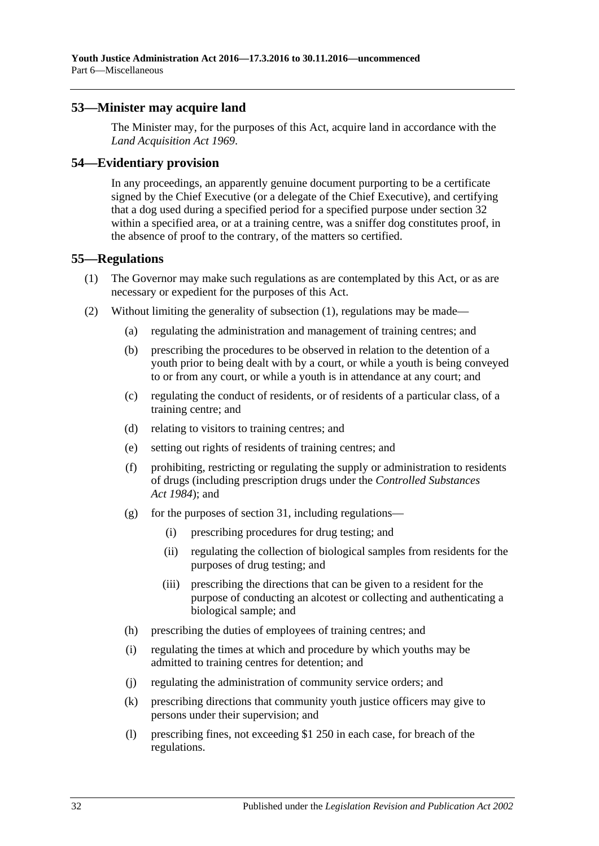#### <span id="page-31-0"></span>**53—Minister may acquire land**

The Minister may, for the purposes of this Act, acquire land in accordance with the *[Land Acquisition Act](http://www.legislation.sa.gov.au/index.aspx?action=legref&type=act&legtitle=Land%20Acquisition%20Act%201969) 1969*.

#### <span id="page-31-1"></span>**54—Evidentiary provision**

In any proceedings, an apparently genuine document purporting to be a certificate signed by the Chief Executive (or a delegate of the Chief Executive), and certifying that a dog used during a specified period for a specified purpose under [section](#page-20-0) 32 within a specified area, or at a training centre, was a sniffer dog constitutes proof, in the absence of proof to the contrary, of the matters so certified.

#### <span id="page-31-3"></span><span id="page-31-2"></span>**55—Regulations**

- (1) The Governor may make such regulations as are contemplated by this Act, or as are necessary or expedient for the purposes of this Act.
- (2) Without limiting the generality of [subsection](#page-31-3) (1), regulations may be made—
	- (a) regulating the administration and management of training centres; and
	- (b) prescribing the procedures to be observed in relation to the detention of a youth prior to being dealt with by a court, or while a youth is being conveyed to or from any court, or while a youth is in attendance at any court; and
	- (c) regulating the conduct of residents, or of residents of a particular class, of a training centre; and
	- (d) relating to visitors to training centres; and
	- (e) setting out rights of residents of training centres; and
	- (f) prohibiting, restricting or regulating the supply or administration to residents of drugs (including prescription drugs under the *[Controlled Substances](http://www.legislation.sa.gov.au/index.aspx?action=legref&type=act&legtitle=Controlled%20Substances%20Act%201984)  Act [1984](http://www.legislation.sa.gov.au/index.aspx?action=legref&type=act&legtitle=Controlled%20Substances%20Act%201984)*); and
	- (g) for the purposes of [section](#page-19-0) 31, including regulations—
		- (i) prescribing procedures for drug testing; and
		- (ii) regulating the collection of biological samples from residents for the purposes of drug testing; and
		- (iii) prescribing the directions that can be given to a resident for the purpose of conducting an alcotest or collecting and authenticating a biological sample; and
	- (h) prescribing the duties of employees of training centres; and
	- (i) regulating the times at which and procedure by which youths may be admitted to training centres for detention; and
	- (j) regulating the administration of community service orders; and
	- (k) prescribing directions that community youth justice officers may give to persons under their supervision; and
	- (l) prescribing fines, not exceeding \$1 250 in each case, for breach of the regulations.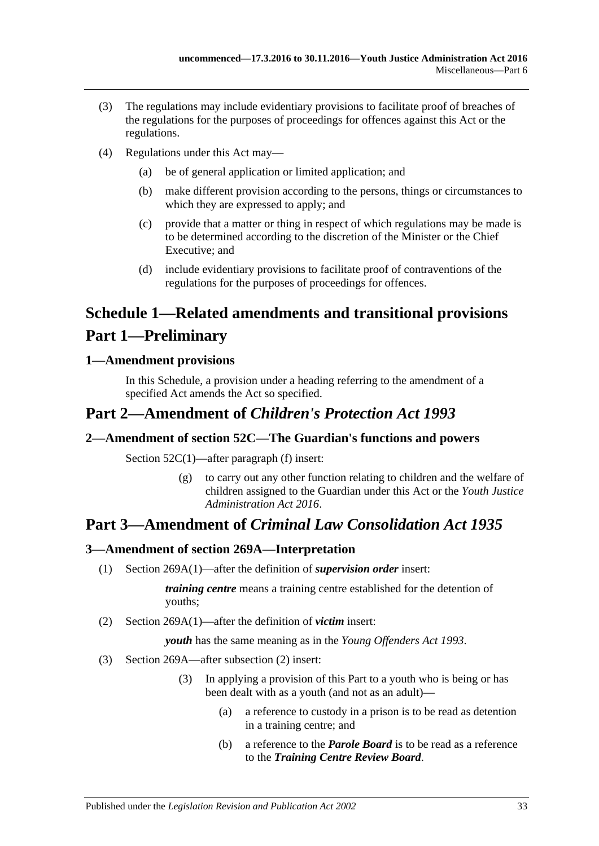- (3) The regulations may include evidentiary provisions to facilitate proof of breaches of the regulations for the purposes of proceedings for offences against this Act or the regulations.
- (4) Regulations under this Act may—
	- (a) be of general application or limited application; and
	- (b) make different provision according to the persons, things or circumstances to which they are expressed to apply; and
	- (c) provide that a matter or thing in respect of which regulations may be made is to be determined according to the discretion of the Minister or the Chief Executive; and
	- (d) include evidentiary provisions to facilitate proof of contraventions of the regulations for the purposes of proceedings for offences.

# <span id="page-32-0"></span>**Schedule 1—Related amendments and transitional provisions Part 1—Preliminary**

#### <span id="page-32-1"></span>**1—Amendment provisions**

In this Schedule, a provision under a heading referring to the amendment of a specified Act amends the Act so specified.

## **Part 2—Amendment of** *Children's Protection Act 1993*

### <span id="page-32-2"></span>**2—Amendment of section 52C—The Guardian's functions and powers**

Section 52C(1)—after paragraph (f) insert:

(g) to carry out any other function relating to children and the welfare of children assigned to the Guardian under this Act or the *[Youth Justice](http://www.legislation.sa.gov.au/index.aspx?action=legref&type=act&legtitle=Youth%20Justice%20Administration%20Act%202016)  [Administration Act](http://www.legislation.sa.gov.au/index.aspx?action=legref&type=act&legtitle=Youth%20Justice%20Administration%20Act%202016) 2016*.

## **Part 3—Amendment of** *Criminal Law Consolidation Act 1935*

### <span id="page-32-3"></span>**3—Amendment of section 269A—Interpretation**

(1) Section 269A(1)—after the definition of *supervision order* insert:

*training centre* means a training centre established for the detention of youths;

(2) Section 269A(1)—after the definition of *victim* insert:

*youth* has the same meaning as in the *[Young Offenders Act](http://www.legislation.sa.gov.au/index.aspx?action=legref&type=act&legtitle=Young%20Offenders%20Act%201993) 1993*.

- (3) Section 269A—after subsection (2) insert:
	- (3) In applying a provision of this Part to a youth who is being or has been dealt with as a youth (and not as an adult)—
		- (a) a reference to custody in a prison is to be read as detention in a training centre; and
		- (b) a reference to the *Parole Board* is to be read as a reference to the *Training Centre Review Board*.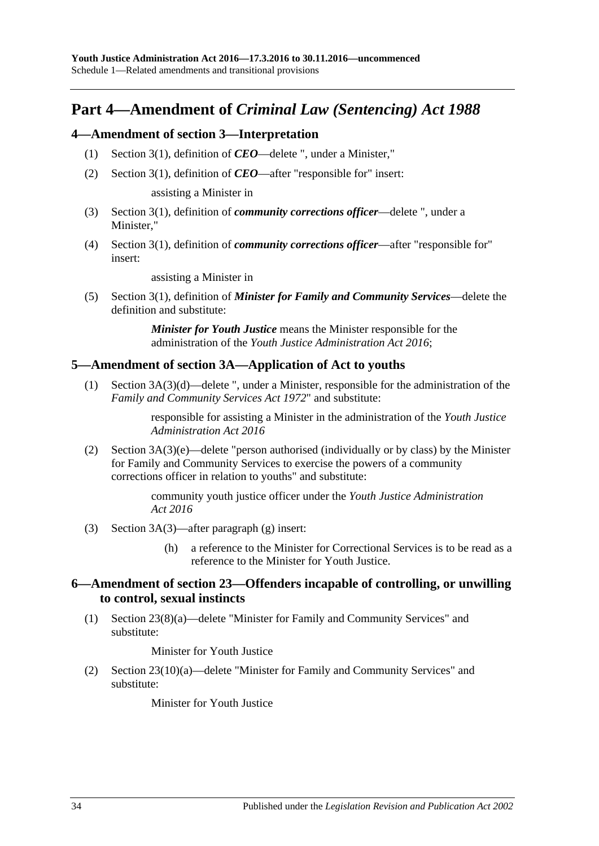## **Part 4—Amendment of** *Criminal Law (Sentencing) Act 1988*

#### <span id="page-33-0"></span>**4—Amendment of section 3—Interpretation**

- (1) Section 3(1), definition of *CEO*—delete ", under a Minister,"
- (2) Section 3(1), definition of *CEO*—after "responsible for" insert:

assisting a Minister in

- (3) Section 3(1), definition of *community corrections officer*—delete ", under a Minister,"
- (4) Section 3(1), definition of *community corrections officer*—after "responsible for" insert:

assisting a Minister in

(5) Section 3(1), definition of *Minister for Family and Community Services*—delete the definition and substitute:

> *Minister for Youth Justice* means the Minister responsible for the administration of the *[Youth Justice Administration Act](http://www.legislation.sa.gov.au/index.aspx?action=legref&type=act&legtitle=Youth%20Justice%20Administration%20Act%202016) 2016*;

#### <span id="page-33-1"></span>**5—Amendment of section 3A—Application of Act to youths**

(1) Section 3A(3)(d)—delete ", under a Minister, responsible for the administration of the *[Family and Community Services Act](http://www.legislation.sa.gov.au/index.aspx?action=legref&type=act&legtitle=Family%20and%20Community%20Services%20Act%201972) 1972*" and substitute:

> responsible for assisting a Minister in the administration of the *[Youth Justice](http://www.legislation.sa.gov.au/index.aspx?action=legref&type=act&legtitle=Youth%20Justice%20Administration%20Act%202016)  [Administration Act](http://www.legislation.sa.gov.au/index.aspx?action=legref&type=act&legtitle=Youth%20Justice%20Administration%20Act%202016) 2016*

(2) Section 3A(3)(e)—delete "person authorised (individually or by class) by the Minister for Family and Community Services to exercise the powers of a community corrections officer in relation to youths" and substitute:

> community youth justice officer under the *[Youth Justice Administration](http://www.legislation.sa.gov.au/index.aspx?action=legref&type=act&legtitle=Youth%20Justice%20Administration%20Act%202016)  Act [2016](http://www.legislation.sa.gov.au/index.aspx?action=legref&type=act&legtitle=Youth%20Justice%20Administration%20Act%202016)*

- (3) Section 3A(3)—after paragraph (g) insert:
	- (h) a reference to the Minister for Correctional Services is to be read as a reference to the Minister for Youth Justice.

#### <span id="page-33-2"></span>**6—Amendment of section 23—Offenders incapable of controlling, or unwilling to control, sexual instincts**

(1) Section 23(8)(a)—delete "Minister for Family and Community Services" and substitute:

Minister for Youth Justice

(2) Section 23(10)(a)—delete "Minister for Family and Community Services" and substitute:

Minister for Youth Justice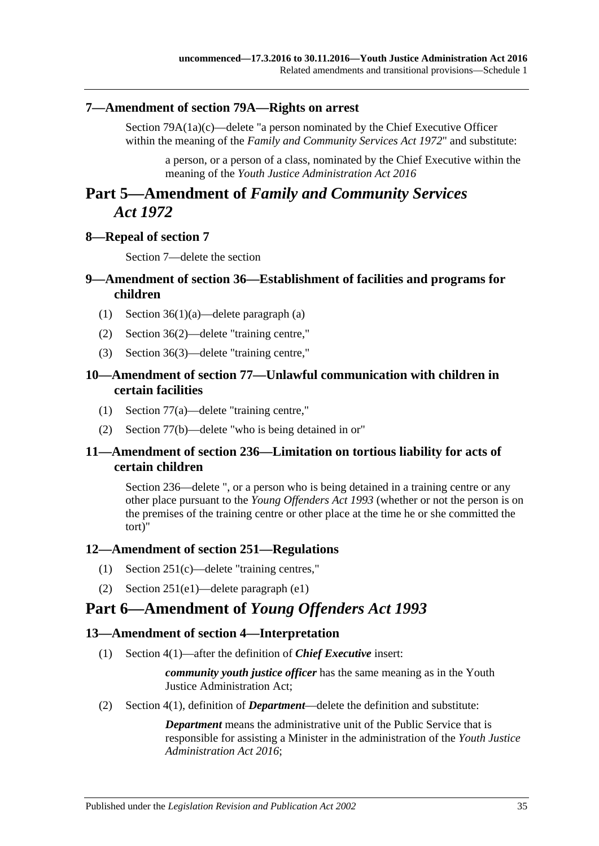#### <span id="page-34-0"></span>**7—Amendment of section 79A—Rights on arrest**

Section 79A(1a)(c)—delete "a person nominated by the Chief Executive Officer within the meaning of the *[Family and Community Services Act](http://www.legislation.sa.gov.au/index.aspx?action=legref&type=act&legtitle=Family%20and%20Community%20Services%20Act%201972) 1972*" and substitute:

a person, or a person of a class, nominated by the Chief Executive within the meaning of the *[Youth Justice Administration Act](http://www.legislation.sa.gov.au/index.aspx?action=legref&type=act&legtitle=Youth%20Justice%20Administration%20Act%202016) 2016*

## **Part 5—Amendment of** *Family and Community Services Act 1972*

#### <span id="page-34-1"></span>**8—Repeal of section 7**

Section 7—delete the section

#### <span id="page-34-2"></span>**9—Amendment of section 36—Establishment of facilities and programs for children**

- (1) Section 36(1)(a)—delete paragraph (a)
- (2) Section 36(2)—delete "training centre,"
- (3) Section 36(3)—delete "training centre,"

#### <span id="page-34-3"></span>**10—Amendment of section 77—Unlawful communication with children in certain facilities**

- (1) Section 77(a)—delete "training centre,"
- (2) Section 77(b)—delete "who is being detained in or"

#### <span id="page-34-4"></span>**11—Amendment of section 236—Limitation on tortious liability for acts of certain children**

Section 236—delete ", or a person who is being detained in a training centre or any other place pursuant to the *[Young Offenders Act](http://www.legislation.sa.gov.au/index.aspx?action=legref&type=act&legtitle=Young%20Offenders%20Act%201993) 1993* (whether or not the person is on the premises of the training centre or other place at the time he or she committed the tort)"

#### <span id="page-34-5"></span>**12—Amendment of section 251—Regulations**

- (1) Section 251(c)—delete "training centres,"
- (2) Section 251(e1)—delete paragraph (e1)

## **Part 6—Amendment of** *Young Offenders Act 1993*

#### <span id="page-34-6"></span>**13—Amendment of section 4—Interpretation**

(1) Section 4(1)—after the definition of *Chief Executive* insert:

*community youth justice officer* has the same meaning as in the Youth Justice Administration Act;

(2) Section 4(1), definition of *Department*—delete the definition and substitute:

*Department* means the administrative unit of the Public Service that is responsible for assisting a Minister in the administration of the *[Youth Justice](http://www.legislation.sa.gov.au/index.aspx?action=legref&type=act&legtitle=Youth%20Justice%20Administration%20Act%202016)  [Administration Act](http://www.legislation.sa.gov.au/index.aspx?action=legref&type=act&legtitle=Youth%20Justice%20Administration%20Act%202016) 2016*;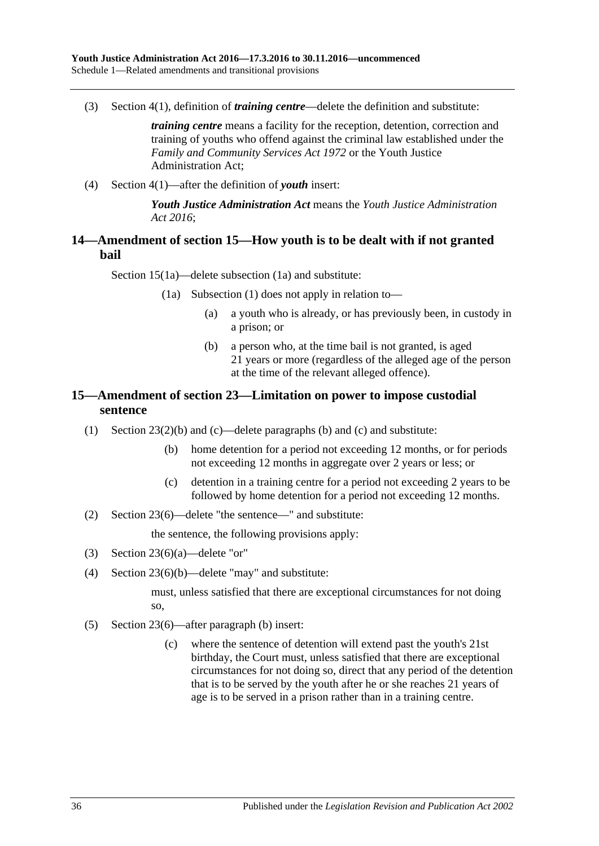(3) Section 4(1), definition of *training centre*—delete the definition and substitute:

*training centre* means a facility for the reception, detention, correction and training of youths who offend against the criminal law established under the *[Family and Community Services Act](http://www.legislation.sa.gov.au/index.aspx?action=legref&type=act&legtitle=Family%20and%20Community%20Services%20Act%201972) 1972* or the Youth Justice Administration Act;

(4) Section 4(1)—after the definition of *youth* insert:

*Youth Justice Administration Act* means the *[Youth Justice Administration](http://www.legislation.sa.gov.au/index.aspx?action=legref&type=act&legtitle=Youth%20Justice%20Administration%20Act%202016)  Act [2016](http://www.legislation.sa.gov.au/index.aspx?action=legref&type=act&legtitle=Youth%20Justice%20Administration%20Act%202016)*;

#### <span id="page-35-0"></span>**14—Amendment of section 15—How youth is to be dealt with if not granted bail**

Section 15(1a)—delete subsection (1a) and substitute:

- (1a) Subsection (1) does not apply in relation to—
	- (a) a youth who is already, or has previously been, in custody in a prison; or
	- (b) a person who, at the time bail is not granted, is aged 21 years or more (regardless of the alleged age of the person at the time of the relevant alleged offence).

### <span id="page-35-1"></span>**15—Amendment of section 23—Limitation on power to impose custodial sentence**

- (1) Section 23(2)(b) and (c)—delete paragraphs (b) and (c) and substitute:
	- (b) home detention for a period not exceeding 12 months, or for periods not exceeding 12 months in aggregate over 2 years or less; or
	- (c) detention in a training centre for a period not exceeding 2 years to be followed by home detention for a period not exceeding 12 months.
- (2) Section 23(6)—delete "the sentence—" and substitute:

the sentence, the following provisions apply:

- (3) Section 23(6)(a)—delete "or"
- (4) Section 23(6)(b)—delete "may" and substitute:

must, unless satisfied that there are exceptional circumstances for not doing so,

- (5) Section 23(6)—after paragraph (b) insert:
	- (c) where the sentence of detention will extend past the youth's 21st birthday, the Court must, unless satisfied that there are exceptional circumstances for not doing so, direct that any period of the detention that is to be served by the youth after he or she reaches 21 years of age is to be served in a prison rather than in a training centre.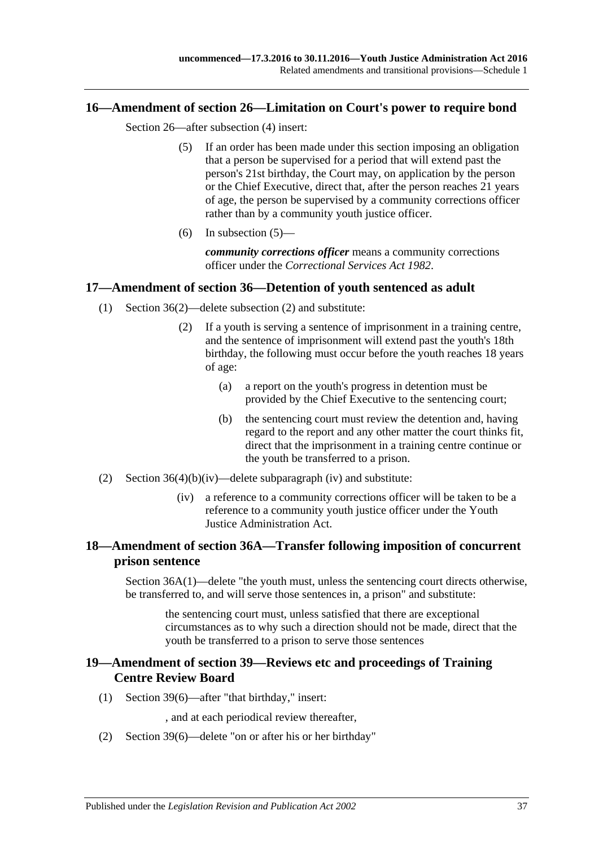#### <span id="page-36-4"></span><span id="page-36-0"></span>**16—Amendment of section 26—Limitation on Court's power to require bond**

Section 26—after subsection (4) insert:

- (5) If an order has been made under this section imposing an obligation that a person be supervised for a period that will extend past the person's 21st birthday, the Court may, on application by the person or the Chief Executive, direct that, after the person reaches 21 years of age, the person be supervised by a community corrections officer rather than by a community youth justice officer.
- (6) In [subsection](#page-36-4)  $(5)$ —

*community corrections officer* means a community corrections officer under the *[Correctional Services Act](http://www.legislation.sa.gov.au/index.aspx?action=legref&type=act&legtitle=Correctional%20Services%20Act%201982) 1982*.

#### <span id="page-36-1"></span>**17—Amendment of section 36—Detention of youth sentenced as adult**

- (1) Section 36(2)—delete subsection (2) and substitute:
	- (2) If a youth is serving a sentence of imprisonment in a training centre, and the sentence of imprisonment will extend past the youth's 18th birthday, the following must occur before the youth reaches 18 years of age:
		- (a) a report on the youth's progress in detention must be provided by the Chief Executive to the sentencing court;
		- (b) the sentencing court must review the detention and, having regard to the report and any other matter the court thinks fit, direct that the imprisonment in a training centre continue or the youth be transferred to a prison.
- (2) Section  $36(4)(b)(iv)$ —delete subparagraph (iv) and substitute:
	- (iv) a reference to a community corrections officer will be taken to be a reference to a community youth justice officer under the Youth Justice Administration Act.

#### <span id="page-36-2"></span>**18—Amendment of section 36A—Transfer following imposition of concurrent prison sentence**

Section 36A(1)—delete "the youth must, unless the sentencing court directs otherwise, be transferred to, and will serve those sentences in, a prison" and substitute:

the sentencing court must, unless satisfied that there are exceptional circumstances as to why such a direction should not be made, direct that the youth be transferred to a prison to serve those sentences

#### <span id="page-36-3"></span>**19—Amendment of section 39—Reviews etc and proceedings of Training Centre Review Board**

(1) Section 39(6)—after "that birthday," insert:

, and at each periodical review thereafter,

(2) Section 39(6)—delete "on or after his or her birthday"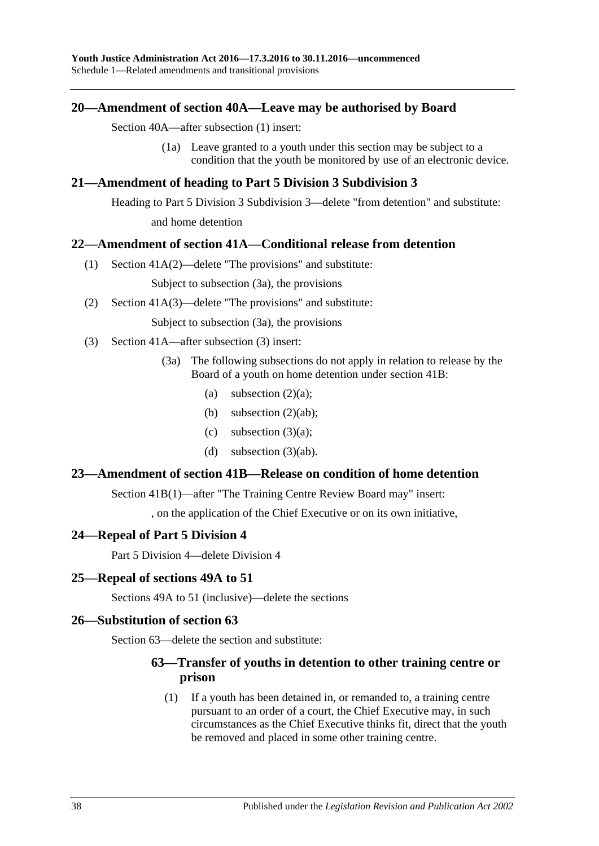#### <span id="page-37-0"></span>**20—Amendment of section 40A—Leave may be authorised by Board**

Section 40A—after subsection (1) insert:

(1a) Leave granted to a youth under this section may be subject to a condition that the youth be monitored by use of an electronic device.

#### <span id="page-37-1"></span>**21—Amendment of heading to Part 5 Division 3 Subdivision 3**

Heading to Part 5 Division 3 Subdivision 3—delete "from detention" and substitute: and home detention

#### <span id="page-37-2"></span>**22—Amendment of section 41A—Conditional release from detention**

(1) Section 41A(2)—delete "The provisions" and substitute:

Subject to subsection (3a), the provisions

(2) Section 41A(3)—delete "The provisions" and substitute:

Subject to subsection (3a), the provisions

- (3) Section 41A—after subsection (3) insert:
	- (3a) The following subsections do not apply in relation to release by the Board of a youth on home detention under section 41B:
		- (a) subsection  $(2)(a)$ ;
		- (b) subsection  $(2)(ab)$ ;
		- (c) subsection  $(3)(a)$ ;
		- (d) subsection  $(3)(ab)$ .

#### <span id="page-37-3"></span>**23—Amendment of section 41B—Release on condition of home detention**

Section 41B(1)—after "The Training Centre Review Board may" insert:

, on the application of the Chief Executive or on its own initiative,

#### <span id="page-37-4"></span>**24—Repeal of Part 5 Division 4**

Part 5 Division 4—delete Division 4

#### <span id="page-37-5"></span>**25—Repeal of sections 49A to 51**

Sections 49A to 51 (inclusive)—delete the sections

#### <span id="page-37-6"></span>**26—Substitution of section 63**

Section 63—delete the section and substitute:

#### **63—Transfer of youths in detention to other training centre or prison**

(1) If a youth has been detained in, or remanded to, a training centre pursuant to an order of a court, the Chief Executive may, in such circumstances as the Chief Executive thinks fit, direct that the youth be removed and placed in some other training centre.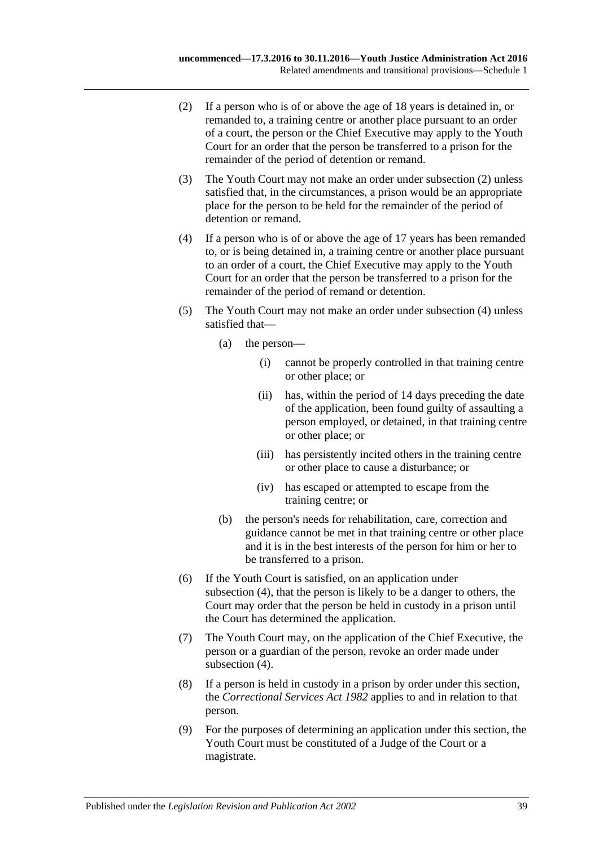- <span id="page-38-0"></span>(2) If a person who is of or above the age of 18 years is detained in, or remanded to, a training centre or another place pursuant to an order of a court, the person or the Chief Executive may apply to the Youth Court for an order that the person be transferred to a prison for the remainder of the period of detention or remand.
- (3) The Youth Court may not make an order under [subsection](#page-38-0) (2) unless satisfied that, in the circumstances, a prison would be an appropriate place for the person to be held for the remainder of the period of detention or remand.
- <span id="page-38-1"></span>(4) If a person who is of or above the age of 17 years has been remanded to, or is being detained in, a training centre or another place pursuant to an order of a court, the Chief Executive may apply to the Youth Court for an order that the person be transferred to a prison for the remainder of the period of remand or detention.
- (5) The Youth Court may not make an order under [subsection](#page-38-1) (4) unless satisfied that—
	- (a) the person—
		- (i) cannot be properly controlled in that training centre or other place; or
		- (ii) has, within the period of 14 days preceding the date of the application, been found guilty of assaulting a person employed, or detained, in that training centre or other place; or
		- (iii) has persistently incited others in the training centre or other place to cause a disturbance; or
		- (iv) has escaped or attempted to escape from the training centre; or
	- (b) the person's needs for rehabilitation, care, correction and guidance cannot be met in that training centre or other place and it is in the best interests of the person for him or her to be transferred to a prison.
- (6) If the Youth Court is satisfied, on an application under [subsection](#page-38-1) (4), that the person is likely to be a danger to others, the Court may order that the person be held in custody in a prison until the Court has determined the application.
- (7) The Youth Court may, on the application of the Chief Executive, the person or a guardian of the person, revoke an order made under [subsection](#page-38-1) (4).
- (8) If a person is held in custody in a prison by order under this section, the *[Correctional Services Act](http://www.legislation.sa.gov.au/index.aspx?action=legref&type=act&legtitle=Correctional%20Services%20Act%201982) 1982* applies to and in relation to that person.
- (9) For the purposes of determining an application under this section, the Youth Court must be constituted of a Judge of the Court or a magistrate.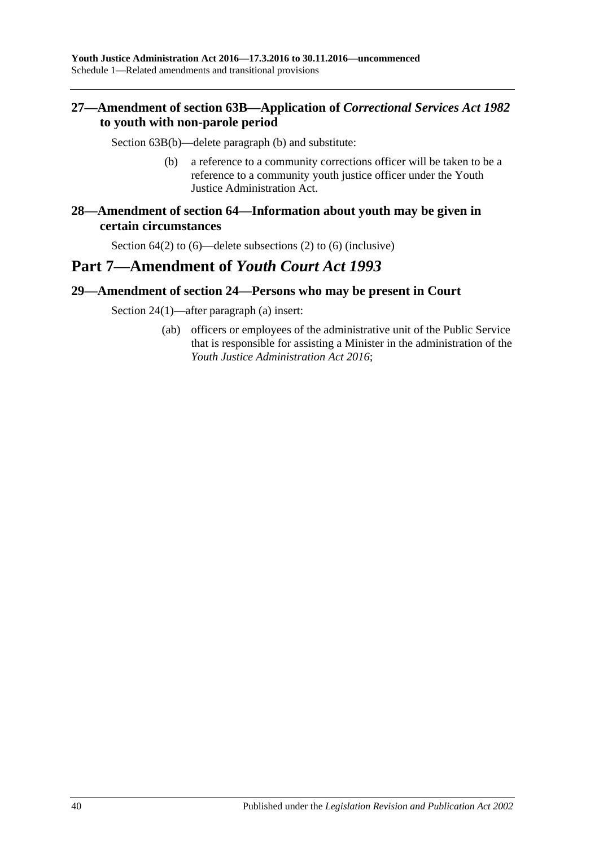### <span id="page-39-0"></span>**27—Amendment of section 63B—Application of** *Correctional Services Act 1982* **to youth with non-parole period**

Section 63B(b)—delete paragraph (b) and substitute:

- (b) a reference to a community corrections officer will be taken to be a reference to a community youth justice officer under the Youth Justice Administration Act.
- <span id="page-39-1"></span>**28—Amendment of section 64—Information about youth may be given in certain circumstances**

Section 64(2) to (6)—delete subsections (2) to (6) (inclusive)

## **Part 7—Amendment of** *Youth Court Act 1993*

#### <span id="page-39-2"></span>**29—Amendment of section 24—Persons who may be present in Court**

Section 24(1)—after paragraph (a) insert:

(ab) officers or employees of the administrative unit of the Public Service that is responsible for assisting a Minister in the administration of the *[Youth Justice Administration Act](http://www.legislation.sa.gov.au/index.aspx?action=legref&type=act&legtitle=Youth%20Justice%20Administration%20Act%202016) 2016*;